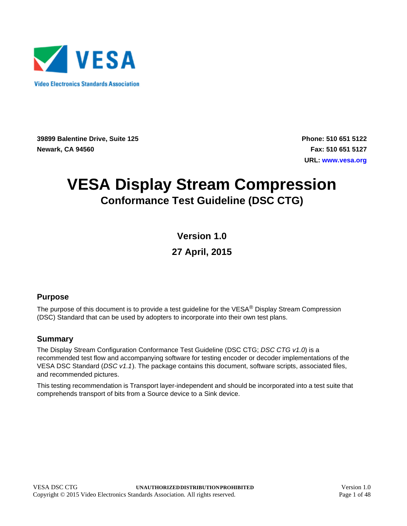

**39899 Balentine Drive, Suite 125 Newark, CA 94560**

**Phone: 510 651 5122 Fax: 510 651 5127 URL: [www.vesa.org](http://www.vesa.org/)**

# **VESA Display Stream Compression Conformance Test Guideline (DSC CTG)**

**Version 1.0**

**27 April, 2015**

#### <span id="page-0-0"></span>**Purpose**

The purpose of this document is to provide a test guideline for the VESA® Display Stream Compression (DSC) Standard that can be used by adopters to incorporate into their own test plans.

#### **Summary**

The Display Stream Configuration Conformance Test Guideline (DSC CTG; *DSC CTG v1.0*) is a recommended test flow and accompanying software for testing encoder or decoder implementations of the VESA DSC Standard (*DSC v1.1*). The package contains this document, software scripts, associated files, and recommended pictures.

This testing recommendation is Transport layer-independent and should be incorporated into a test suite that comprehends transport of bits from a Source device to a Sink device.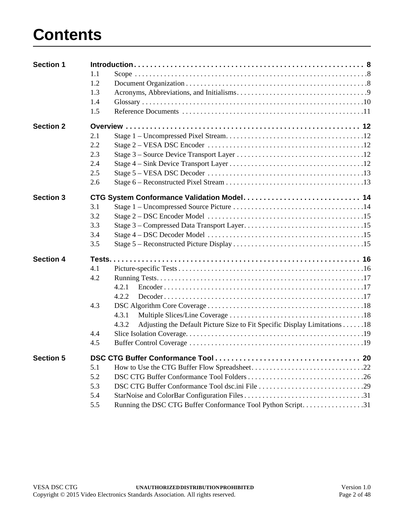# **Contents**

| <b>Section 1</b> |     |                                                                                    |  |
|------------------|-----|------------------------------------------------------------------------------------|--|
|                  | 1.1 |                                                                                    |  |
|                  | 1.2 |                                                                                    |  |
|                  | 1.3 |                                                                                    |  |
|                  | 1.4 |                                                                                    |  |
|                  | 1.5 |                                                                                    |  |
| <b>Section 2</b> |     |                                                                                    |  |
|                  | 2.1 |                                                                                    |  |
|                  | 2.2 |                                                                                    |  |
|                  | 2.3 |                                                                                    |  |
|                  | 2.4 |                                                                                    |  |
|                  | 2.5 |                                                                                    |  |
|                  | 2.6 |                                                                                    |  |
| <b>Section 3</b> |     |                                                                                    |  |
|                  | 3.1 |                                                                                    |  |
|                  | 3.2 |                                                                                    |  |
|                  | 3.3 |                                                                                    |  |
|                  | 3.4 |                                                                                    |  |
|                  | 3.5 |                                                                                    |  |
| <b>Section 4</b> |     |                                                                                    |  |
|                  | 4.1 |                                                                                    |  |
|                  | 4.2 |                                                                                    |  |
|                  |     | 4.2.1                                                                              |  |
|                  |     | 4.2.2                                                                              |  |
|                  | 4.3 |                                                                                    |  |
|                  |     | 4.3.1                                                                              |  |
|                  |     | 4.3.2<br>Adjusting the Default Picture Size to Fit Specific Display Limitations 18 |  |
|                  | 4.4 |                                                                                    |  |
|                  | 4.5 |                                                                                    |  |
| <b>Section 5</b> |     |                                                                                    |  |
|                  | 5.1 |                                                                                    |  |
|                  | 5.2 |                                                                                    |  |
|                  | 5.3 |                                                                                    |  |
|                  | 5.4 |                                                                                    |  |
|                  | 5.5 | Running the DSC CTG Buffer Conformance Tool Python Script31                        |  |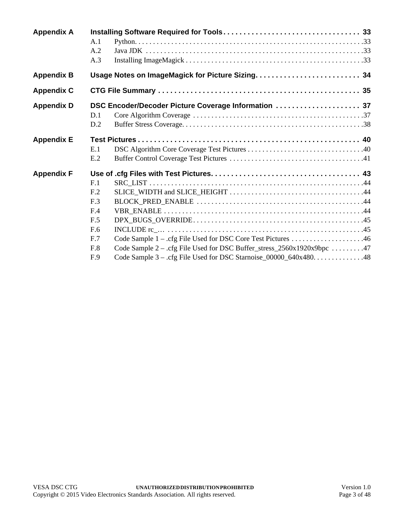| <b>Appendix A</b> | A.1<br>A.2                                                                                                                                                                                                              |
|-------------------|-------------------------------------------------------------------------------------------------------------------------------------------------------------------------------------------------------------------------|
|                   | A.3                                                                                                                                                                                                                     |
| <b>Appendix B</b> |                                                                                                                                                                                                                         |
| <b>Appendix C</b> |                                                                                                                                                                                                                         |
| <b>Appendix D</b> | DSC Encoder/Decoder Picture Coverage Information  37<br>D.1<br>D.2                                                                                                                                                      |
| <b>Appendix E</b> | E.1<br>E.2                                                                                                                                                                                                              |
| <b>Appendix F</b> | F.1<br>F <sub>.2</sub><br>F.3<br>F.4<br>F.5<br>F.6<br>F.7<br>Code Sample 2 – .cfg File Used for DSC Buffer_stress_2560x1920x9bpc 47<br>F.8<br>Code Sample 3 - .cfg File Used for DSC Starnoise_00000_640x480. 48<br>F.9 |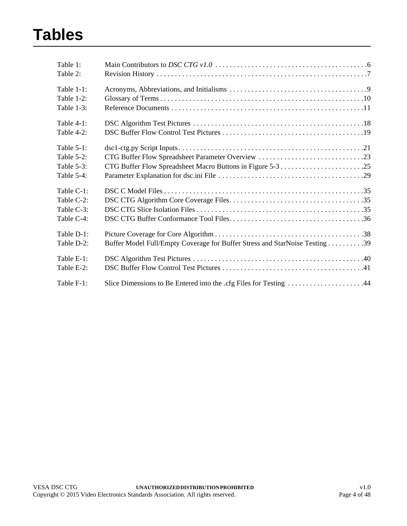# **Tables**

| Table 1:<br>Table 2: |                                                                             |
|----------------------|-----------------------------------------------------------------------------|
| Table $1-1$ :        |                                                                             |
| Table 1-2:           |                                                                             |
| Table $1-3$ :        |                                                                             |
| Table $4-1$ :        |                                                                             |
| Table $4-2$ :        |                                                                             |
| Table $5-1$ :        |                                                                             |
| Table $5-2$ :        | CTG Buffer Flow Spreadsheet Parameter Overview 23                           |
| Table $5-3$ :        |                                                                             |
| Table $5-4$ :        |                                                                             |
| Table C-1:           |                                                                             |
| Table C-2:           |                                                                             |
| Table C-3:           |                                                                             |
| Table C-4:           |                                                                             |
| Table D-1:           |                                                                             |
| Table D-2:           | Buffer Model Full/Empty Coverage for Buffer Stress and StarNoise Testing 39 |
| Table E-1:           |                                                                             |
| Table E-2:           |                                                                             |
| Table F-1:           | Slice Dimensions to Be Entered into the .cfg Files for Testing 44           |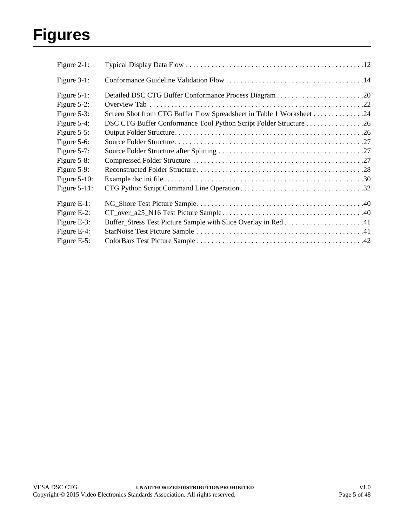# **Figures**

| Figure 2-1:     |                                                                      |  |
|-----------------|----------------------------------------------------------------------|--|
| Figure $3-1$ :  |                                                                      |  |
| Figure $5-1$ :  |                                                                      |  |
| Figure $5-2$ :  |                                                                      |  |
| Figure 5-3:     | Screen Shot from CTG Buffer Flow Spreadsheet in Table 1 Worksheet 24 |  |
| Figure 5-4:     |                                                                      |  |
| Figure $5-5$ :  |                                                                      |  |
| Figure 5-6:     |                                                                      |  |
| Figure $5-7$ :  |                                                                      |  |
| Figure 5-8:     |                                                                      |  |
| Figure 5-9:     |                                                                      |  |
| Figure $5-10$ : |                                                                      |  |
| Figure $5-11$ : |                                                                      |  |
| Figure E-1:     |                                                                      |  |
| Figure E-2:     |                                                                      |  |
| Figure E-3:     |                                                                      |  |
| Figure E-4:     |                                                                      |  |
| Figure E-5:     |                                                                      |  |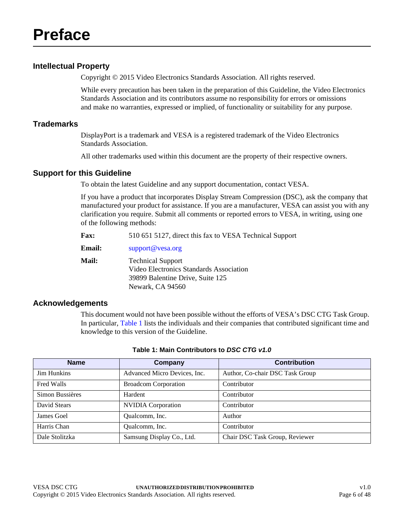#### <span id="page-5-2"></span>**Intellectual Property**

<span id="page-5-0"></span>Copyright © 2015 Video Electronics Standards Association. All rights reserved.

While every precaution has been taken in the preparation of this Guideline, the Video Electronics Standards Association and its contributors assume no responsibility for errors or omissions and make no warranties, expressed or implied, of functionality or suitability for any purpose.

#### **Trademarks**

DisplayPort is a trademark and VESA is a registered trademark of the Video Electronics Standards Association.

All other trademarks used within this document are the property of their respective owners.

#### **Support for this Guideline**

To obtain the latest Guideline and any support documentation, contact VESA.

If you have a product that incorporates Display Stream Compression (DSC), ask the company that manufactured your product for assistance. If you are a manufacturer, VESA can assist you with any clarification you require. Submit all comments or reported errors to VESA, in writing, using one of the following methods:

| <b>Fax:</b><br>510 651 5127, direct this fax to VESA Technical Support |
|------------------------------------------------------------------------|
|                                                                        |

| <b>Email:</b> | support@vesa.org                                                                                        |
|---------------|---------------------------------------------------------------------------------------------------------|
| <b>Mail:</b>  | <b>Technical Support</b><br>Video Electronics Standards Association<br>39899 Balentine Drive, Suite 125 |
|               | Newark, CA 94560                                                                                        |

#### **Acknowledgements**

This document would not have been possible without the efforts of VESA's DSC CTG Task Group. In particular, [Table 1](#page-5-1) lists the individuals and their companies that contributed significant time and knowledge to this version of the Guideline.

<span id="page-5-1"></span>

| <b>Name</b>        | Company                      | <b>Contribution</b>             |
|--------------------|------------------------------|---------------------------------|
| <b>Jim Hunkins</b> | Advanced Micro Devices, Inc. | Author, Co-chair DSC Task Group |
| Fred Walls         | <b>Broadcom Corporation</b>  | Contributor                     |
| Simon Bussières    | Hardent                      | Contributor                     |
| David Stears       | <b>NVIDIA</b> Corporation    | Contributor                     |
| James Goel         | Qualcomm, Inc.               | Author                          |
| Harris Chan        | Qualcomm, Inc.               | Contributor                     |
| Dale Stolitzka     | Samsung Display Co., Ltd.    | Chair DSC Task Group, Reviewer  |

#### **Table 1: Main Contributors to** *DSC CTG v1.0*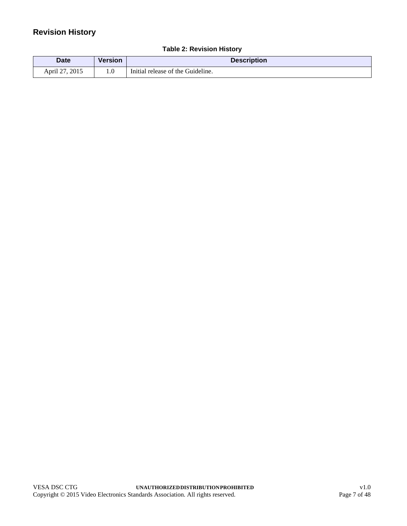### <span id="page-6-1"></span>**Revision History**

<span id="page-6-0"></span>

| Date           | <b>Version</b> | <b>Description</b>                |  |
|----------------|----------------|-----------------------------------|--|
| April 27, 2015 | IJ.            | Initial release of the Guideline. |  |

#### **Table 2: [Revision History](#page-6-1)**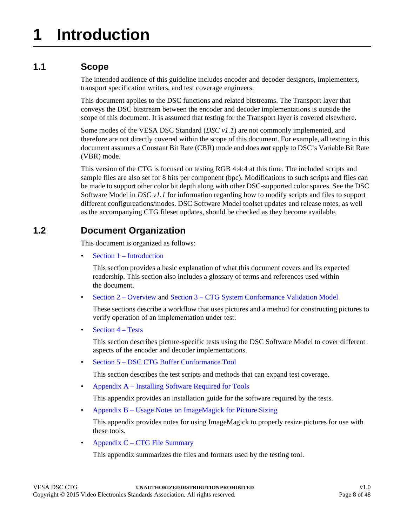## <span id="page-7-1"></span><span id="page-7-0"></span>**1.1 Scope**

The intended audience of this guideline includes encoder and decoder designers, implementers, transport specification writers, and test coverage engineers.

This document applies to the DSC functions and related bitstreams. The Transport layer that conveys the DSC bitstream between the encoder and decoder implementations is outside the scope of this document. It is assumed that testing for the Transport layer is covered elsewhere.

Some modes of the VESA DSC Standard (*DSC v1.1*) are not commonly implemented, and therefore are not directly covered within the scope of this document. For example, all testing in this document assumes a Constant Bit Rate (CBR) mode and does *not* apply to DSC's Variable Bit Rate (VBR) mode.

This version of the CTG is focused on testing RGB 4:4:4 at this time. The included scripts and sample files are also set for 8 bits per component (bpc). Modifications to such scripts and files can be made to support other color bit depth along with other DSC-supported color spaces. See the DSC Software Model in *DSC v1.1* for information regarding how to modify scripts and files to support different configureations/modes. DSC Software Model toolset updates and release notes, as well as the accompanying CTG fileset updates, should be checked as they become available.

## <span id="page-7-2"></span>**1.2 Document Organization**

This document is organized as follows:

• [Section 1 – Introduction](#page-7-0)

This section provides a basic explanation of what this document covers and its expected readership. This section also includes a glossary of terms and references used within the document.

• [Section 2 – Overview](#page-11-6) and [Section 3 – CTG System Conformance Validation Model](#page-13-3)

These sections describe a workflow that uses pictures and a method for constructing pictures to verify operation of an implementation under test.

[Section 4 – Tests](#page-15-2)

This section describes picture-specific tests using the DSC Software Model to cover different aspects of the encoder and decoder implementations.

• [Section 5 – DSC CTG Buffer Conformance Tool](#page-19-2)

This section describes the test scripts and methods that can expand test coverage.

• [Appendix A – Installing Software Required for Tools](#page-32-4)

This appendix provides an installation guide for the software required by the tests.

• [Appendix B – Usage Notes on ImageMagick for Picture Sizing](#page-33-1)

This appendix provides notes for using ImageMagick to properly resize pictures for use with these tools.

• [Appendix C – CTG File Summary](#page-34-4)

This appendix summarizes the files and formats used by the testing tool.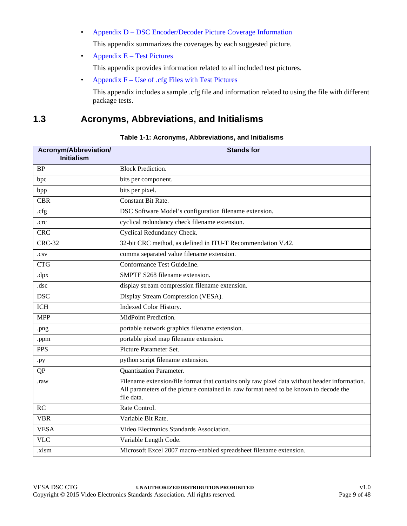- [Appendix D DSC Encoder/Decoder Picture Coverage Information](#page-36-2) This appendix summarizes the coverages by each suggested picture.
- Appendix  $E Test$  Pictures

This appendix provides information related to all included test pictures.

• Appendix  $F -$  Use of .cfg Files with Test Pictures

This appendix includes a sample .cfg file and information related to using the file with different package tests.

### <span id="page-8-0"></span>**1.3 Acronyms, Abbreviations, and Initialisms**

#### **Table 1-1: [Acronyms, Abbreviations, and Initialisms](#page-8-0)**

<span id="page-8-1"></span>

| Acronym/Abbreviation/<br><b>Initialism</b> | <b>Stands for</b>                                                                                                                                                                                   |  |  |
|--------------------------------------------|-----------------------------------------------------------------------------------------------------------------------------------------------------------------------------------------------------|--|--|
| <b>BP</b>                                  | <b>Block Prediction.</b>                                                                                                                                                                            |  |  |
| bpc                                        | bits per component.                                                                                                                                                                                 |  |  |
| bpp                                        | bits per pixel.                                                                                                                                                                                     |  |  |
| <b>CBR</b>                                 | Constant Bit Rate.                                                                                                                                                                                  |  |  |
| .cfg                                       | DSC Software Model's configuration filename extension.                                                                                                                                              |  |  |
| .crc                                       | cyclical redundancy check filename extension.                                                                                                                                                       |  |  |
| <b>CRC</b>                                 | Cyclical Redundancy Check.                                                                                                                                                                          |  |  |
| <b>CRC-32</b>                              | 32-bit CRC method, as defined in ITU-T Recommendation V.42.                                                                                                                                         |  |  |
| .csv                                       | comma separated value filename extension.                                                                                                                                                           |  |  |
| <b>CTG</b>                                 | Conformance Test Guideline.                                                                                                                                                                         |  |  |
| dpx                                        | SMPTE S268 filename extension.                                                                                                                                                                      |  |  |
| .dsc                                       | display stream compression filename extension.                                                                                                                                                      |  |  |
| <b>DSC</b>                                 | Display Stream Compression (VESA).                                                                                                                                                                  |  |  |
| <b>ICH</b>                                 | Indexed Color History.                                                                                                                                                                              |  |  |
| <b>MPP</b>                                 | MidPoint Prediction.                                                                                                                                                                                |  |  |
| .png                                       | portable network graphics filename extension.                                                                                                                                                       |  |  |
| .ppm                                       | portable pixel map filename extension.                                                                                                                                                              |  |  |
| <b>PPS</b>                                 | Picture Parameter Set.                                                                                                                                                                              |  |  |
| .py                                        | python script filename extension.                                                                                                                                                                   |  |  |
| QP                                         | <b>Quantization Parameter.</b>                                                                                                                                                                      |  |  |
| .raw                                       | Filename extension/file format that contains only raw pixel data without header information.<br>All parameters of the picture contained in .raw format need to be known to decode the<br>file data. |  |  |
| RC                                         | Rate Control.                                                                                                                                                                                       |  |  |
| <b>VBR</b>                                 | Variable Bit Rate.                                                                                                                                                                                  |  |  |
| <b>VESA</b>                                | Video Electronics Standards Association.                                                                                                                                                            |  |  |
| <b>VLC</b>                                 | Variable Length Code.                                                                                                                                                                               |  |  |
| .xlsm                                      | Microsoft Excel 2007 macro-enabled spreadsheet filename extension.                                                                                                                                  |  |  |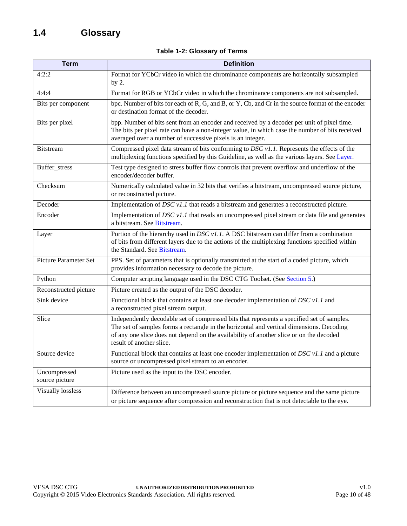|  |  | Table 1-2: Glossary of Terms |  |  |
|--|--|------------------------------|--|--|
|--|--|------------------------------|--|--|

<span id="page-9-3"></span><span id="page-9-2"></span><span id="page-9-1"></span><span id="page-9-0"></span>

| <b>Term</b>                    | <b>Definition</b>                                                                                                                                                                                                                                                                                             |  |  |
|--------------------------------|---------------------------------------------------------------------------------------------------------------------------------------------------------------------------------------------------------------------------------------------------------------------------------------------------------------|--|--|
| 4:2:2                          | Format for YCbCr video in which the chrominance components are horizontally subsampled<br>by $2.$                                                                                                                                                                                                             |  |  |
| 4:4:4                          | Format for RGB or YCbCr video in which the chrominance components are not subsampled.                                                                                                                                                                                                                         |  |  |
| Bits per component             | bpc. Number of bits for each of R, G, and B, or Y, Cb, and Cr in the source format of the encoder<br>or destination format of the decoder.                                                                                                                                                                    |  |  |
| Bits per pixel                 | bpp. Number of bits sent from an encoder and received by a decoder per unit of pixel time.<br>The bits per pixel rate can have a non-integer value, in which case the number of bits received<br>averaged over a number of successive pixels is an integer.                                                   |  |  |
| <b>Bitstream</b>               | Compressed pixel data stream of bits conforming to $DSC$ v1.1. Represents the effects of the<br>multiplexing functions specified by this Guideline, as well as the various layers. See Layer.                                                                                                                 |  |  |
| Buffer_stress                  | Test type designed to stress buffer flow controls that prevent overflow and underflow of the<br>encoder/decoder buffer.                                                                                                                                                                                       |  |  |
| Checksum                       | Numerically calculated value in 32 bits that verifies a bitstream, uncompressed source picture,<br>or reconstructed picture.                                                                                                                                                                                  |  |  |
| Decoder                        | Implementation of $DSC$ v1.1 that reads a bitstream and generates a reconstructed picture.                                                                                                                                                                                                                    |  |  |
| Encoder                        | Implementation of <i>DSC v1.1</i> that reads an uncompressed pixel stream or data file and generates<br>a bitstream. See Bitstream.                                                                                                                                                                           |  |  |
| Layer                          | Portion of the hierarchy used in $DSC$ v1.1. A DSC bitstream can differ from a combination<br>of bits from different layers due to the actions of the multiplexing functions specified within<br>the Standard. See Bitstream.                                                                                 |  |  |
| <b>Picture Parameter Set</b>   | PPS. Set of parameters that is optionally transmitted at the start of a coded picture, which<br>provides information necessary to decode the picture.                                                                                                                                                         |  |  |
| Python                         | Computer scripting language used in the DSC CTG Toolset. (See Section 5.)                                                                                                                                                                                                                                     |  |  |
| Reconstructed picture          | Picture created as the output of the DSC decoder.                                                                                                                                                                                                                                                             |  |  |
| Sink device                    | Functional block that contains at least one decoder implementation of $\overline{DSC}$ v1.1 and<br>a reconstructed pixel stream output.                                                                                                                                                                       |  |  |
| Slice                          | Independently decodable set of compressed bits that represents a specified set of samples.<br>The set of samples forms a rectangle in the horizontal and vertical dimensions. Decoding<br>of any one slice does not depend on the availability of another slice or on the decoded<br>result of another slice. |  |  |
| Source device                  | Functional block that contains at least one encoder implementation of $DSC v1.1$ and a picture<br>source or uncompressed pixel stream to an encoder.                                                                                                                                                          |  |  |
| Uncompressed<br>source picture | Picture used as the input to the DSC encoder.                                                                                                                                                                                                                                                                 |  |  |
| <b>Visually lossless</b>       | Difference between an uncompressed source picture or picture sequence and the same picture<br>or picture sequence after compression and reconstruction that is not detectable to the eye.                                                                                                                     |  |  |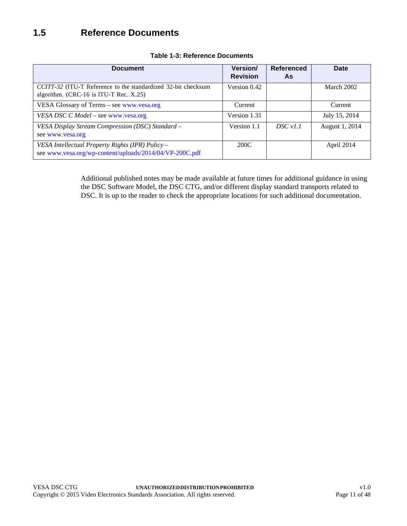<span id="page-10-1"></span><span id="page-10-0"></span>

| <b>Document</b>                                                                                             | <b>Version/</b><br><b>Revision</b> | <b>Referenced</b><br>As | Date           |
|-------------------------------------------------------------------------------------------------------------|------------------------------------|-------------------------|----------------|
| CCITT-32 (ITU-T Reference to the standardized 32-bit checksum<br>algorithm. (CRC-16 is ITU-T Rec. X.25)     | Version 0.42                       |                         | March 2002     |
| VESA Glossary of Terms - see www.vesa.org                                                                   | Current                            |                         | Current        |
| VESA DSC C Model - see www.vesa.org                                                                         | Version 1.31                       |                         | July 15, 2014  |
| VESA Display Stream Compression (DSC) Standard -<br>see www.vesa.org                                        | Version 1.1                        | DSCv1.1                 | August 1, 2014 |
| VESA Intellectual Property Rights (IPR) Policy -<br>see www.vesa.org/wp-content/uploads/2014/04/VP-200C.pdf | 200C                               |                         | April 2014     |

#### **Table 1-3: Reference Documents**

Additional published notes may be made available at future times for additional guidance in using the DSC Software Model, the DSC CTG, and/or different display standard transports related to DSC. It is up to the reader to check the appropriate locations for such additional documentation.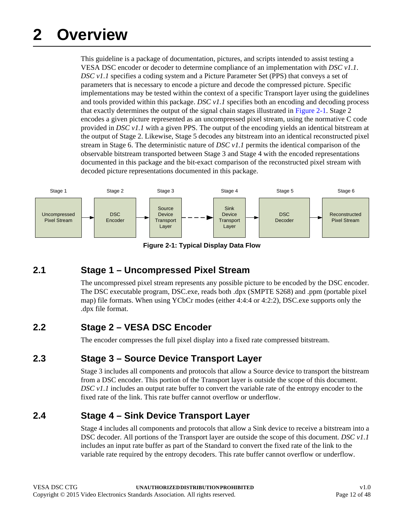# <span id="page-11-6"></span><span id="page-11-0"></span>**2 Overview**

This guideline is a package of documentation, pictures, and scripts intended to assist testing a VESA DSC encoder or decoder to determine compliance of an implementation with *DSC v1.1*. *DSC v1.1* specifies a coding system and a Picture Parameter Set (PPS) that conveys a set of parameters that is necessary to encode a picture and decode the compressed picture. Specific implementations may be tested within the context of a specific Transport layer using the guidelines and tools provided within this package. *DSC v1.1* specifies both an encoding and decoding process that exactly determines the output of the signal chain stages illustrated in [Figure 2-1.](#page-11-5) Stage 2 encodes a given picture represented as an uncompressed pixel stream, using the normative C code provided in *DSC v1.1* with a given PPS. The output of the encoding yields an identical bitstream at the output of Stage 2. Likewise, Stage 5 decodes any bitstream into an identical reconstructed pixel stream in Stage 6. The deterministic nature of *DSC v1.1* permits the identical comparison of the observable bitstream transported between Stage 3 and Stage 4 with the encoded representations documented in this package and the bit-exact comparison of the reconstructed pixel stream with decoded picture representations documented in this package.



**Figure 2-1: Typical Display Data Flow**

### <span id="page-11-5"></span><span id="page-11-1"></span>**2.1 Stage 1 – Uncompressed Pixel Stream**

The uncompressed pixel stream represents any possible picture to be encoded by the DSC encoder. The DSC executable program, DSC.exe, reads both .dpx (SMPTE S268) and .ppm (portable pixel map) file formats. When using YCbCr modes (either 4:4:4 or 4:2:2), DSC.exe supports only the .dpx file format.

## <span id="page-11-2"></span>**2.2 Stage 2 – VESA DSC Encoder**

The encoder compresses the full pixel display into a fixed rate compressed bitstream.

### <span id="page-11-3"></span>**2.3 Stage 3 – Source Device Transport Layer**

Stage 3 includes all components and protocols that allow a Source device to transport the bitstream from a DSC encoder. This portion of the Transport layer is outside the scope of this document. *DSC v1.1* includes an output rate buffer to convert the variable rate of the entropy encoder to the fixed rate of the link. This rate buffer cannot overflow or underflow.

## <span id="page-11-4"></span>**2.4 Stage 4 – Sink Device Transport Layer**

Stage 4 includes all components and protocols that allow a Sink device to receive a bitstream into a DSC decoder. All portions of the Transport layer are outside the scope of this document. *DSC v1.1* includes an input rate buffer as part of the Standard to convert the fixed rate of the link to the variable rate required by the entropy decoders. This rate buffer cannot overflow or underflow.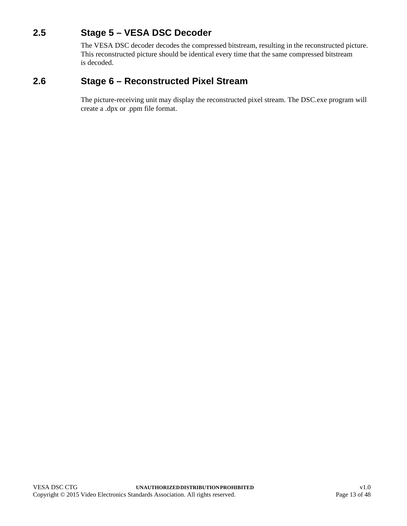## <span id="page-12-0"></span>**2.5 Stage 5 – VESA DSC Decoder**

The VESA DSC decoder decodes the compressed bitstream, resulting in the reconstructed picture. This reconstructed picture should be identical every time that the same compressed bitstream is decoded.

### <span id="page-12-1"></span>**2.6 Stage 6 – Reconstructed Pixel Stream**

The picture-receiving unit may display the reconstructed pixel stream. The DSC.exe program will create a .dpx or .ppm file format.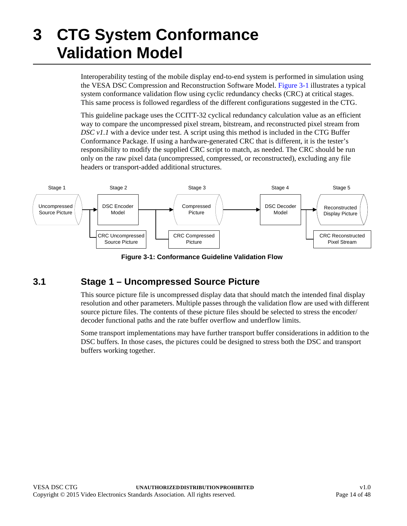# <span id="page-13-3"></span><span id="page-13-0"></span>**3 CTG System Conformance Validation Model**

Interoperability testing of the mobile display end-to-end system is performed in simulation using the VESA DSC Compression and Reconstruction Software Model. [Figure 3-1](#page-13-2) illustrates a typical system conformance validation flow using cyclic redundancy checks (CRC) at critical stages. This same process is followed regardless of the different configurations suggested in the CTG.

This guideline package uses the CCITT-32 cyclical redundancy calculation value as an efficient way to compare the uncompressed pixel stream, bitstream, and reconstructed pixel stream from *DSC v1.1* with a device under test. A script using this method is included in the CTG Buffer Conformance Package. If using a hardware-generated CRC that is different, it is the tester's responsibility to modify the supplied CRC script to match, as needed. The CRC should be run only on the raw pixel data (uncompressed, compressed, or reconstructed), excluding any file headers or transport-added additional structures.



**Figure 3-1: Conformance Guideline Validation Flow**

## <span id="page-13-2"></span><span id="page-13-1"></span>**3.1 Stage 1 – Uncompressed Source Picture**

This source picture file is uncompressed display data that should match the intended final display resolution and other parameters. Multiple passes through the validation flow are used with different source picture files. The contents of these picture files should be selected to stress the encoder/ decoder functional paths and the rate buffer overflow and underflow limits.

Some transport implementations may have further transport buffer considerations in addition to the DSC buffers. In those cases, the pictures could be designed to stress both the DSC and transport buffers working together.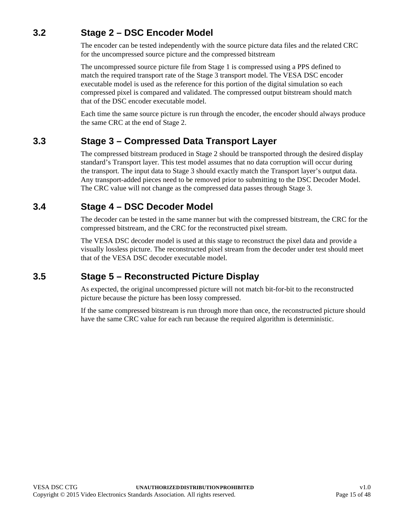## <span id="page-14-0"></span>**3.2 Stage 2 – DSC Encoder Model**

The encoder can be tested independently with the source picture data files and the related CRC for the uncompressed source picture and the compressed bitstream

The uncompressed source picture file from Stage 1 is compressed using a PPS defined to match the required transport rate of the Stage 3 transport model. The VESA DSC encoder executable model is used as the reference for this portion of the digital simulation so each compressed pixel is compared and validated. The compressed output bitstream should match that of the DSC encoder executable model.

Each time the same source picture is run through the encoder, the encoder should always produce the same CRC at the end of Stage 2.

### <span id="page-14-1"></span>**3.3 Stage 3 – Compressed Data Transport Layer**

The compressed bitstream produced in Stage 2 should be transported through the desired display standard's Transport layer. This test model assumes that no data corruption will occur during the transport. The input data to Stage 3 should exactly match the Transport layer's output data. Any transport-added pieces need to be removed prior to submitting to the DSC Decoder Model. The CRC value will not change as the compressed data passes through Stage 3.

### <span id="page-14-2"></span>**3.4 Stage 4 – DSC Decoder Model**

The decoder can be tested in the same manner but with the compressed bitstream, the CRC for the compressed bitstream, and the CRC for the reconstructed pixel stream.

The VESA DSC decoder model is used at this stage to reconstruct the pixel data and provide a visually lossless picture. The reconstructed pixel stream from the decoder under test should meet that of the VESA DSC decoder executable model.

## <span id="page-14-3"></span>**3.5 Stage 5 – Reconstructed Picture Display**

As expected, the original uncompressed picture will not match bit-for-bit to the reconstructed picture because the picture has been lossy compressed.

If the same compressed bitstream is run through more than once, the reconstructed picture should have the same CRC value for each run because the required algorithm is deterministic.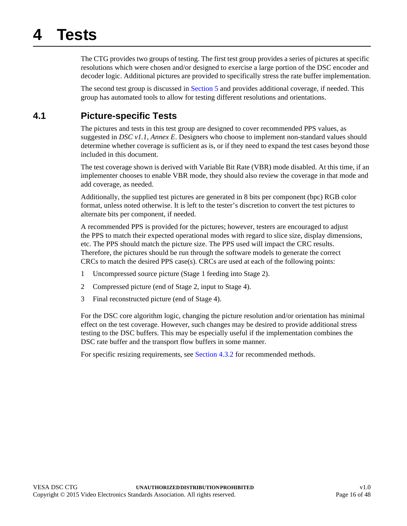# <span id="page-15-2"></span><span id="page-15-0"></span>**4 Tests**

The CTG provides two groups of testing. The first test group provides a series of pictures at specific resolutions which were chosen and/or designed to exercise a large portion of the DSC encoder and decoder logic. Additional pictures are provided to specifically stress the rate buffer implementation.

The second test group is discussed in [Section 5](#page-19-2) and provides additional coverage, if needed. This group has automated tools to allow for testing different resolutions and orientations.

## <span id="page-15-1"></span>**4.1 Picture-specific Tests**

The pictures and tests in this test group are designed to cover recommended PPS values, as suggested in *DSC v1.1*, *Annex E*. Designers who choose to implement non-standard values should determine whether coverage is sufficient as is, or if they need to expand the test cases beyond those included in this document.

The test coverage shown is derived with Variable Bit Rate (VBR) mode disabled. At this time, if an implementer chooses to enable VBR mode, they should also review the coverage in that mode and add coverage, as needed.

Additionally, the supplied test pictures are generated in 8 bits per component (bpc) RGB color format, unless noted otherwise. It is left to the tester's discretion to convert the test pictures to alternate bits per component, if needed.

A recommended PPS is provided for the pictures; however, testers are encouraged to adjust the PPS to match their expected operational modes with regard to slice size, display dimensions, etc. The PPS should match the picture size. The PPS used will impact the CRC results. Therefore, the pictures should be run through the software models to generate the correct CRCs to match the desired PPS case(s). CRCs are used at each of the following points:

- 1 Uncompressed source picture (Stage 1 feeding into Stage 2).
- 2 Compressed picture (end of Stage 2, input to Stage 4).
- 3 Final reconstructed picture (end of Stage 4).

For the DSC core algorithm logic, changing the picture resolution and/or orientation has minimal effect on the test coverage. However, such changes may be desired to provide additional stress testing to the DSC buffers. This may be especially useful if the implementation combines the DSC rate buffer and the transport flow buffers in some manner.

For specific resizing requirements, see [Section 4.3.2](#page-17-2) for recommended methods.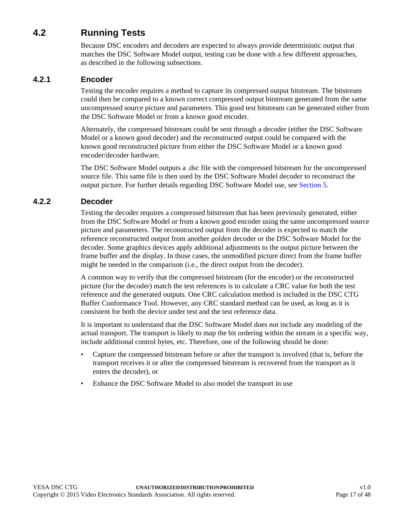## <span id="page-16-0"></span>**4.2 Running Tests**

<span id="page-16-3"></span>Because DSC encoders and decoders are expected to always provide deterministic output that matches the DSC Software Model output, testing can be done with a few different approaches, as described in the following subsections.

#### <span id="page-16-1"></span>**4.2.1 Encoder**

Testing the encoder requires a method to capture its compressed output bitstream. The bitstream could then be compared to a known correct compressed output bitstream generated from the same uncompressed source picture and parameters. This good test bitstream can be generated either from the DSC Software Model or from a known good encoder.

Alternately, the compressed bitstream could be sent through a decoder (either the DSC Software Model or a known good decoder) and the reconstructed output could be compared with the known good reconstructed picture from either the DSC Software Model or a known good encoder/decoder hardware.

The DSC Software Model outputs a .dsc file with the compressed bitstream for the uncompressed source file. This same file is then used by the DSC Software Model decoder to reconstruct the output picture. For further details regarding DSC Software Model use, see [Section 5.](#page-19-2)

#### <span id="page-16-2"></span>**4.2.2 Decoder**

Testing the decoder requires a compressed bitstream that has been previously generated, either from the DSC Software Model or from a known good encoder using the same uncompressed source picture and parameters. The reconstructed output from the decoder is expected to match the reference reconstructed output from another *golden* decoder or the DSC Software Model for the decoder. Some graphics devices apply additional adjustments to the output picture between the frame buffer and the display. In those cases, the unmodified picture direct from the frame buffer might be needed in the comparison (i.e., the direct output from the decoder).

A common way to verify that the compressed bitstream (for the encoder) or the reconstructed picture (for the decoder) match the test references is to calculate a CRC value for both the test reference and the generated outputs. One CRC calculation method is included in the DSC CTG Buffer Conformance Tool. However, any CRC standard method can be used, as long as it is consistent for both the device under test and the test reference data.

It is important to understand that the DSC Software Model does not include any modeling of the actual transport. The transport is likely to map the bit ordering within the stream in a specific way, include additional control bytes, etc. Therefore, one of the following should be done:

- Capture the compressed bitstream before or after the transport is involved (that is, before the transport receives it or after the compressed bitstream is recovered from the transport as it enters the decoder), or
- Enhance the DSC Software Model to also model the transport in use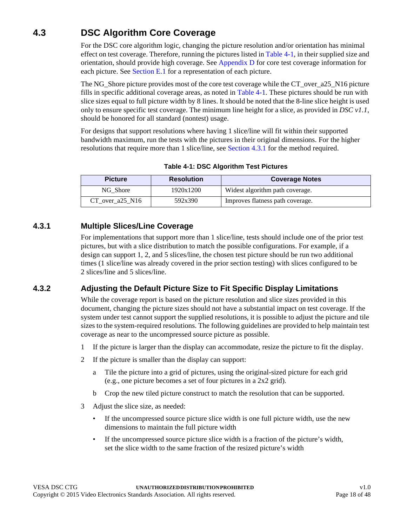# <span id="page-17-0"></span>**4.3 DSC Algorithm Core Coverage**

<span id="page-17-4"></span>For the DSC core algorithm logic, changing the picture resolution and/or orientation has minimal effect on test coverage. Therefore, running the pictures listed in [Table 4-1](#page-17-3), in their supplied size and orientation, should provide high coverage. See [Appendix D](#page-36-2) for core test coverage information for each picture. See [Section E.1](#page-39-6) for a representation of each picture.

The NG\_Shore picture provides most of the core test coverage while the CT\_over\_a25\_N16 picture fills in specific additional coverage areas, as noted in [Table 4-1.](#page-17-3) These pictures should be run with slice sizes equal to full picture width by 8 lines. It should be noted that the 8-line slice height is used only to ensure specific test coverage. The minimum line height for a slice, as provided in *DSC v1.1*, should be honored for all standard (nontest) usage.

For designs that support resolutions where having 1 slice/line will fit within their supported bandwidth maximum, run the tests with the pictures in their original dimensions. For the higher resolutions that require more than 1 slice/line, see [Section 4.3.1](#page-17-1) for the method required.

<span id="page-17-3"></span>

| <b>Picture</b>    | <b>Resolution</b> | <b>Coverage Notes</b>            |
|-------------------|-------------------|----------------------------------|
| NG Shore          | 1920x1200         | Widest algorithm path coverage.  |
| CT over $a25$ N16 | 592x390           | Improves flatness path coverage. |

**Table 4-1: DSC Algorithm Test Pictures**

#### <span id="page-17-1"></span>**4.3.1 Multiple Slices/Line Coverage**

<span id="page-17-5"></span>For implementations that support more than 1 slice/line, tests should include one of the prior test pictures, but with a slice distribution to match the possible configurations. For example, if a design can support 1, 2, and 5 slices/line, the chosen test picture should be run two additional times (1 slice/line was already covered in the prior section testing) with slices configured to be 2 slices/line and 5 slices/line.

### <span id="page-17-2"></span>**4.3.2 Adjusting the Default Picture Size to Fit Specific Display Limitations**

While the coverage report is based on the picture resolution and slice sizes provided in this document, changing the picture sizes should not have a substantial impact on test coverage. If the system under test cannot support the supplied resolutions, it is possible to adjust the picture and tile sizes to the system-required resolutions. The following guidelines are provided to help maintain test coverage as near to the uncompressed source picture as possible.

- 1 If the picture is larger than the display can accommodate, resize the picture to fit the display.
- 2 If the picture is smaller than the display can support:
	- a Tile the picture into a grid of pictures, using the original-sized picture for each grid (e.g., one picture becomes a set of four pictures in a 2x2 grid).
	- b Crop the new tiled picture construct to match the resolution that can be supported.
- 3 Adjust the slice size, as needed:
	- If the uncompressed source picture slice width is one full picture width, use the new dimensions to maintain the full picture width
	- If the uncompressed source picture slice width is a fraction of the picture's width, set the slice width to the same fraction of the resized picture's width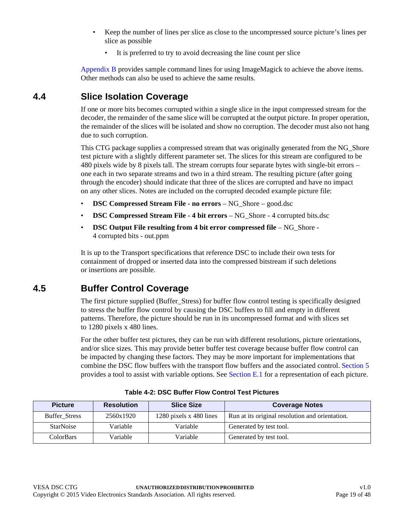- Keep the number of lines per slice as close to the uncompressed source picture's lines per slice as possible
	- It is preferred to try to avoid decreasing the line count per slice

<span id="page-18-4"></span>[Appendix B](#page-33-1) provides sample command lines for using ImageMagick to achieve the above items. Other methods can also be used to achieve the same results.

## <span id="page-18-0"></span>**4.4 Slice Isolation Coverage**

If one or more bits becomes corrupted within a single slice in the input compressed stream for the decoder, the remainder of the same slice will be corrupted at the output picture. In proper operation, the remainder of the slices will be isolated and show no corruption. The decoder must also not hang due to such corruption.

This CTG package supplies a compressed stream that was originally generated from the NG\_Shore test picture with a slightly different parameter set. The slices for this stream are configured to be 480 pixels wide by 8 pixels tall. The stream corrupts four separate bytes with single-bit errors – one each in two separate streams and two in a third stream. The resulting picture (after going through the encoder) should indicate that three of the slices are corrupted and have no impact on any other slices. Notes are included on the corrupted decoded example picture file:

- **DSC Compressed Stream File no errors** NG\_Shore good.dsc
- **DSC Compressed Stream File 4 bit errors** NG\_Shore 4 corrupted bits.dsc
- **DSC Output File resulting from 4 bit error compressed file** NG\_Shore 4 corrupted bits - out.ppm

It is up to the Transport specifications that reference DSC to include their own tests for containment of dropped or inserted data into the compressed bitstream if such deletions or insertions are possible.

## <span id="page-18-1"></span>**4.5 Buffer Control Coverage**

<span id="page-18-5"></span>The first picture supplied (Buffer Stress) for buffer flow control testing is specifically designed to stress the buffer flow control by causing the DSC buffers to fill and empty in different patterns. Therefore, the picture should be run in its uncompressed format and with slices set to [1280 pixels x 480 lines.](#page-18-3)

For the other buffer test pictures, they can be run with different resolutions, picture orientations, and/or slice sizes. This may provide better buffer test coverage because buffer flow control can be impacted by changing these factors. They may be more important for implementations that combine the DSC flow buffers with the transport flow buffers and the associated control. [Section 5](#page-19-2) provides a tool to assist with variable options. See [Section E.1](#page-39-6) for a representation of each picture.

<span id="page-18-2"></span>

| <b>Picture</b>       | <b>Resolution</b> | <b>Slice Size</b>       | <b>Coverage Notes</b>                           |
|----------------------|-------------------|-------------------------|-------------------------------------------------|
| <b>Buffer Stress</b> | 2560x1920         | 1280 pixels x 480 lines | Run at its original resolution and orientation. |
| <b>StarNoise</b>     | Variable          | Variable                | Generated by test tool.                         |
| <b>ColorBars</b>     | Variable          | Variable                | Generated by test tool.                         |

<span id="page-18-3"></span>**Table 4-2: DSC Buffer Flow Control Test Pictures**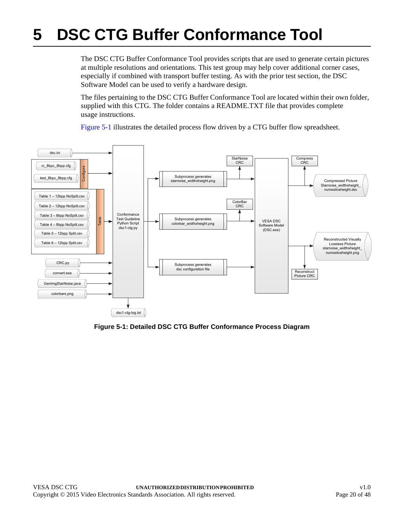# <span id="page-19-2"></span><span id="page-19-0"></span>**5 DSC CTG Buffer Conformance Tool**

The DSC CTG Buffer Conformance Tool provides scripts that are used to generate certain pictures at multiple resolutions and orientations. This test group may help cover additional corner cases, especially if combined with transport buffer testing. As with the prior test section, the DSC Software Model can be used to verify a hardware design.

The files pertaining to the DSC CTG Buffer Conformance Tool are located within their own folder, supplied with this CTG. The folder contains a README.TXT file that provides complete usage instructions.

[Figure 5-1](#page-19-1) illustrates the detailed process flow driven by a CTG buffer flow spreadsheet.



<span id="page-19-1"></span>**Figure 5-1: Detailed DSC CTG Buffer Conformance Process Diagram**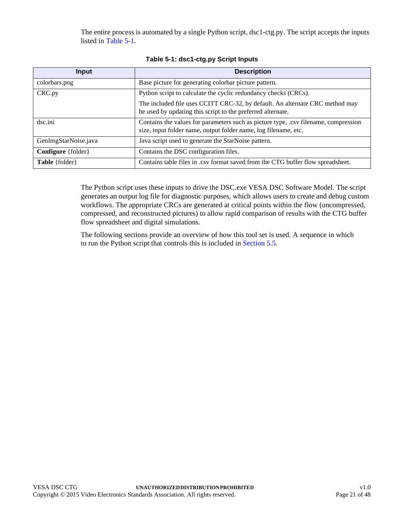The entire process is automated by a single Python script, dsc1-ctg.py. The script accepts the inputs listed in [Table 5-1.](#page-20-0)

<span id="page-20-0"></span>

| Input                       | <b>Description</b>                                                                                                                                     |  |  |  |  |  |  |  |  |
|-----------------------------|--------------------------------------------------------------------------------------------------------------------------------------------------------|--|--|--|--|--|--|--|--|
| colorbars.png               | Base picture for generating colorbar picture pattern.                                                                                                  |  |  |  |  |  |  |  |  |
| CRC.py                      | Python script to calculate the cyclic redundancy checks (CRCs).                                                                                        |  |  |  |  |  |  |  |  |
|                             | The included file uses CCITT CRC-32, by default. An alternate CRC method may<br>be used by updating this script to the preferred alternate.            |  |  |  |  |  |  |  |  |
| dsc.ini                     | Contains the values for parameters such as picture type, .csv filename, compression<br>size, input folder name, output folder name, log filename, etc. |  |  |  |  |  |  |  |  |
| GenImgStarNoise.java        | Java script used to generate the StarNoise pattern.                                                                                                    |  |  |  |  |  |  |  |  |
| <b>Configure</b> { folder } | Contains the DSC configuration files.                                                                                                                  |  |  |  |  |  |  |  |  |
| Table {folder}              | Contains table files in .csv format saved from the CTG buffer flow spreadsheet.                                                                        |  |  |  |  |  |  |  |  |

|  | Table 5-1: dsc1-ctg.py Script Inputs |
|--|--------------------------------------|
|  |                                      |

The Python script uses these inputs to drive the DSC.exe VESA DSC Software Model. The script generates an output log file for diagnostic purposes, which allows users to create and debug custom workflows. The appropriate CRCs are generated at critical points within the flow (uncompressed, compressed, and reconstructed pictures) to allow rapid comparison of results with the CTG buffer flow spreadsheet and digital simulations.

The following sections provide an overview of how this tool set is used. A sequence in which to run the Python script that controls this is included in [Section 5.5.](#page-30-1)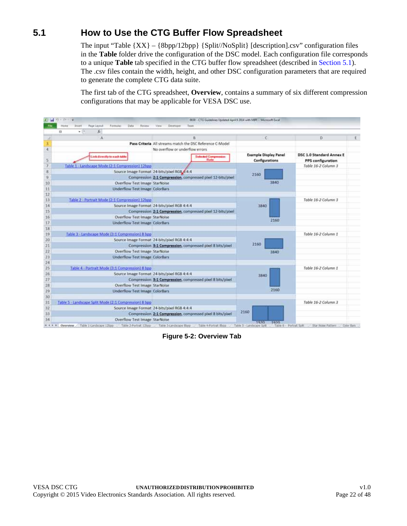## <span id="page-21-0"></span>**5.1 How to Use the CTG Buffer Flow Spreadsheet**

The input "Table {XX} – {8bpp/12bpp} {Split//NoSplit} [description].csv" configuration files in the **Table** folder drive the configuration of the DSC model. Each configuration file corresponds to a unique **Table** tab specified in the CTG buffer flow spreadsheet (described in [Section 5.1](#page-21-0)). The .csv files contain the width, height, and other DSC configuration parameters that are required to generate the complete CTG data suite.

The first tab of the CTG spreadsheet, **Overview**, contains a summary of six different compression configurations that may be applicable for VESA DSC use.

| ы           | $49.0124 = 146$                                                                  | 00.0 - CTG Guidelines Updated April 9 2014 with MPT - Microsoft Eucel |                                                |                                                      |  |
|-------------|----------------------------------------------------------------------------------|-----------------------------------------------------------------------|------------------------------------------------|------------------------------------------------------|--|
| <b>File</b> | Home<br>Inset<br>Page Layeut<br>Formular<br>Data<br>Erview<br>fe.<br>$+12$<br>13 | Developer<br>Team<br>View                                             |                                                |                                                      |  |
|             | л                                                                                | 8                                                                     | c                                              | D                                                    |  |
| з           |                                                                                  | Pass Criteria All streams match the DSC Reference C-Model             |                                                |                                                      |  |
| 4           |                                                                                  | No overflow or underflow errors.                                      |                                                |                                                      |  |
|             | Link directly to each table                                                      | <b>Selected Compression</b><br><b>Hate</b>                            | <b>Example Display Panel</b><br>Configurations | <b>DSC 1.0 Standard Annex E</b><br>PPS configuration |  |
|             | Table 1 - Landscape Mode (2:1 Compression) 12bpp                                 |                                                                       |                                                | Table 16-2 Column 3                                  |  |
| B           |                                                                                  | Source Image Format 24-bits/plxel RGB 4:4:4                           | 2150                                           |                                                      |  |
| 9           |                                                                                  | Compression 2:1 Compression, compressed phel 12-bits/phel             |                                                |                                                      |  |
| 10          | Overflow Test Image StarNoise                                                    |                                                                       | 3840                                           |                                                      |  |
| 11          | <b>Underflow Test Image ColorBars</b>                                            |                                                                       |                                                |                                                      |  |
| 12          |                                                                                  |                                                                       |                                                |                                                      |  |
| 13          | Table 2 - Portrait Mode (2:1 Compression) 12bpp                                  |                                                                       |                                                | Table 16-2 Column 3                                  |  |
| 14          |                                                                                  | Source Image Format 24-bits/pixel RGB 4:4:4                           | 3840                                           |                                                      |  |
| 15          |                                                                                  | Compression 2:1 Compression, compressed pixel 12-bits/pixel           |                                                |                                                      |  |
| 16          | Overflow Test Image StarNoise                                                    |                                                                       | 2160                                           |                                                      |  |
| 17          | <b>Underflow Test Image ColorBars</b>                                            |                                                                       |                                                |                                                      |  |
| 18          |                                                                                  |                                                                       |                                                |                                                      |  |
| 19          | Table 3 - Landscape Mode (3:1 Compression) 8 bpp                                 |                                                                       |                                                | Table 16-2 Column 1                                  |  |
| 20          |                                                                                  | Source Image Format 24-bits/pixel RGB 4:4:4                           |                                                |                                                      |  |
| 21          |                                                                                  | Compression 3:1 Compression, compressed pixel 8 bits/pixel            | 2160                                           |                                                      |  |
| 22          | Overflow Test Image StarNoise                                                    |                                                                       | 3840                                           |                                                      |  |
| 23          | <b>Underflow Test Image ColorBars</b>                                            |                                                                       |                                                |                                                      |  |
| 24          |                                                                                  |                                                                       |                                                |                                                      |  |
| 25          | Table 4 - Portrait Mode (3:1 Compression) 8 bpp                                  |                                                                       |                                                | Table 16-2 Column 1                                  |  |
| 26<br>27    |                                                                                  | Source Image Format 24-bits/pixel RGB 4:4:4                           | 3840                                           |                                                      |  |
|             |                                                                                  | Compression 3:1 Compression, compressed pixel 8 bits/pixel            |                                                |                                                      |  |
| 28          | Overflow Test Image StarNoise                                                    |                                                                       |                                                |                                                      |  |
| 29          | Underflow Test Image ColorBars                                                   |                                                                       | 2150                                           |                                                      |  |
| 30          |                                                                                  |                                                                       |                                                |                                                      |  |
| 31          | Table 5 - Landscape Split Mode (2:1 Compression) 8 bpp                           |                                                                       |                                                | Table 16-2 Column 3                                  |  |
| 32          |                                                                                  | Source Image Format 24-bits/pixel RGB 4:4:4                           | 2160                                           |                                                      |  |
| 33          |                                                                                  | Compression 2:1 Compression, compressed pixel 8 bits/pixel            |                                                |                                                      |  |
| 34          | Overflow Test Image StarNoise<br># + + # Overview Table I Candicope 125pp        | Table 2-Portrait 17hpp Table 3-Limitropy Blog                         | 10001<br>1970                                  |                                                      |  |

<span id="page-21-1"></span>**Figure 5-2: Overview Tab**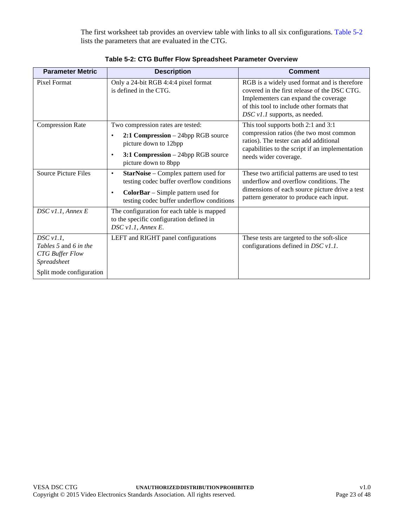The first worksheet tab provides an overview table with links to all six configurations. [Table 5-2](#page-22-0) lists the parameters that are evaluated in the CTG.

<span id="page-22-0"></span>

| <b>Parameter Metric</b>                                                                                                    | <b>Description</b>                                                                                                                                                                                  | <b>Comment</b>                                                                                                                                                                                                      |  |  |  |  |  |  |  |
|----------------------------------------------------------------------------------------------------------------------------|-----------------------------------------------------------------------------------------------------------------------------------------------------------------------------------------------------|---------------------------------------------------------------------------------------------------------------------------------------------------------------------------------------------------------------------|--|--|--|--|--|--|--|
| Pixel Format                                                                                                               | Only a 24-bit RGB 4:4:4 pixel format<br>is defined in the CTG.                                                                                                                                      | RGB is a widely used format and is therefore<br>covered in the first release of the DSC CTG.<br>Implementers can expand the coverage<br>of this tool to include other formats that<br>DSC v1.1 supports, as needed. |  |  |  |  |  |  |  |
| <b>Compression Rate</b>                                                                                                    | Two compression rates are tested:<br>$2:1$ Compression $-24$ bpp RGB source<br>$\bullet$<br>picture down to 12bpp<br>3:1 Compression - 24bpp RGB source<br>$\bullet$<br>picture down to 8bpp        | This tool supports both 2:1 and 3:1<br>compression ratios (the two most common<br>ratios). The tester can add additional<br>capabilities to the script if an implementation<br>needs wider coverage.                |  |  |  |  |  |  |  |
| <b>Source Picture Files</b>                                                                                                | <b>StarNoise</b> – Complex pattern used for<br>$\bullet$<br>testing codec buffer overflow conditions<br><b>ColorBar</b> – Simple pattern used for<br>٠<br>testing codec buffer underflow conditions | These two artificial patterns are used to test<br>underflow and overflow conditions. The<br>dimensions of each source picture drive a test<br>pattern generator to produce each input.                              |  |  |  |  |  |  |  |
| DSC v1.1, Annex E                                                                                                          | The configuration for each table is mapped<br>to the specific configuration defined in<br>DSC v1.1, Annex E.                                                                                        |                                                                                                                                                                                                                     |  |  |  |  |  |  |  |
| $DSC$ $v1.1$ ,<br><i>Tables</i> 5 and 6 <i>in the</i><br><b>CTG</b> Buffer Flow<br>Spreadsheet<br>Split mode configuration | LEFT and RIGHT panel configurations                                                                                                                                                                 | These tests are targeted to the soft-slice<br>configurations defined in DSC $v1.1$ .                                                                                                                                |  |  |  |  |  |  |  |

**Table 5-2: CTG Buffer Flow Spreadsheet Parameter Overview**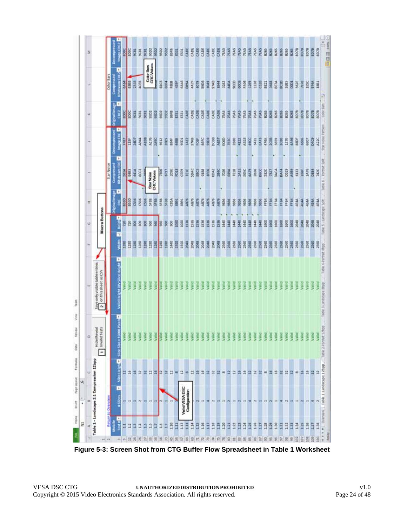| 医       |                                                             |                    | Decorager             | <b>Image CRC2</b><br><b>SDOC</b>                                         | appe        | 9CRI          | 9CRL  | E     | 95D2                            | ŝ    | 55.02       | 9502        | 86FB        | 岳          | ESIL             | CADE          | CADE  | S              | CADE | CADE        | CADE        | š              | 7EAS        | 7EAS<br>深             | 7EAS        | 70AS | <b>TEAS</b> | 76.45       | <b>TEAS</b> | 8285 | 8265       | 8285        | 8285        | 8265 | 追           | 震    | 男白   | 医鼠   | 807B |
|---------|-------------------------------------------------------------|--------------------|-----------------------|--------------------------------------------------------------------------|-------------|---------------|-------|-------|---------------------------------|------|-------------|-------------|-------------|------------|------------------|---------------|-------|----------------|------|-------------|-------------|----------------|-------------|-----------------------|-------------|------|-------------|-------------|-------------|------|------------|-------------|-------------|------|-------------|------|------|------|------|
|         |                                                             | Color Bars         | Compressed            | ٠<br><b>Hitchream CRC2</b><br>64.64                                      | <b>SSBB</b> | 7415          | 4088  |       | <b>CRC Values</b><br>Color Bars |      | <b>BICS</b> | <b>BBF4</b> | FREB        | 4396       | \$445            | $\frac{3}{8}$ | 44.7F | g op           | 59DB | GROUP       | 97AB        | $\frac{34}{2}$ | 3282        | 96CD<br>4464          | g           | FAOI | R           | Ř           | C62B        | BEZI | 翼          | BE7A        | <b>B</b>    | 3185 | $rac{1}{2}$ | 562E | 民间   | ESC  | 9744 |
| ы       |                                                             |                    | <b>Original Image</b> | ×<br>GKO<br>EDDC                                                         | <b>SDOC</b> | 531           | 9081  | ë     | 9502                            | 9502 | 5502        | 5502        | 86HB        | Bit        | E531             | š             | CADE  | $\overline{3}$ | CADE | GADE        | CADE        | CADE           | <b>TEAS</b> | 7685<br>酱             | zus         | 7EAS | 76A5        | <b>TEAS</b> | 篇           | 8265 | 8265       | <b>B265</b> | 8265        | 8265 | 39          | 用品   | 声息   | 四、四  | 把包   |
|         |                                                             |                    | <b>Decompre</b>       | $\mathbb{E}[\hspace{-1.5pt}[$<br>Image CRC<br>FFB7                       | 当           | 20K           | A944  | Autor | A176                            | 3450 | <b>SEE</b>  | š           | <b>BB4F</b> | 1688       | 9EDI             | <b>IAE2</b>   | 17AB  | <b>BD3</b>     | BSIC | 5902        | DCBB        | AES?           | EC6D        | <b>CEBA</b><br>380    | ą           | AB38 | šč          | 5431        | EAFL        | 4748 | <b>RED</b> | š           | 8           | f1   | 4456        | ă    | 6566 | 6807 | g    |
|         |                                                             | Star Noise         | Compressed            | ×<br><b>Bitstream CBC</b><br>5014                                        | 6483        | 441A          | 6003  |       | Star Noise<br>CRC Values        |      | ě           | EE.         | 2005        | Ë          | CEE9             | Ħ             | SDAC  | <b>CORD</b>    | 0188 | 89.98       | <b>DDAE</b> | zaac           | 7020        | á<br>FELI             | <b>ZAIL</b> | š    | Ş           | 2826        | BSCC        | sate | 7327       | <b>SACA</b> | <b>BAF4</b> | 829  | 4.989       | 6133 | 遠    | 1476 | DBS4 |
| 国       |                                                             |                    | elnal timage          | ×<br>B<br>8360                                                           | 6360        | $\frac{8}{3}$ | C536  | ă     | 5638                            | 5510 | 5618        | <b>SF8B</b> | C85A        | Sept.      | 1691             | 長             | 4876  | 4876           | A876 | KBY         | 4876        | 亮呢             | 3           | 50<br>ě               | š           | 856  | š           | š           | š           | FFB4 | H          | 薑           | 푶           | FFB4 | H           | 4544 | 4ELA | 4514 | 适用   |
| G.      | Macro Buttons                                               |                    | Heigh                 | g<br>╔                                                                   | R           | 8             | 8     | 8     | 960                             | g    | 960         | ş           | 8           | <b>DRO</b> | 1080             | 1516          | 38    | 1516           | 1536 | 1536        | 1516        | 1535           | 1440        | $\frac{1}{2}$<br>3440 | <b>SPFF</b> | 3440 | 9440        | 昆虫          | 91440       | 1900 | 80         | 380         | 800         | 1600 | 1600        | 賀    | 3048 | 置    | 2048 |
| H.      |                                                             |                    |                       | Width<br>1280<br>×                                                       | 1280        | 1280          | 1280  | 3280  | 1280                            | 3280 | R           | 1280        | 呈           | 1920       | 1920             | 景             | 2048  | 霓              | 覆    | <b>BROC</b> | 2048        | 3045           | 2560        | 2560<br>2560          | 3560        | 2560 | 360         | 2560        | 3560        | 2560 | 2560       | 2560        | 2560        | 2560 | 2560        | 2560 | 3560 | 2560 | 2560 |
|         | Save only visible table entries<br>$2$ on this sheet as CSV |                    |                       | Slice Height Slice Size s 15000 Plack Sale Valid Height DIV Silce Height |             |               |       |       |                                 |      |             |             |             |            |                  |               |       |                |      |             |             |                |             |                       |             |      |             | 言           |             |      | Ě          | ä           | ä           | š    |             |      |      |      |      |
| $\circ$ | Invalid Tests<br>Hide/Reveal<br>÷                           |                    |                       | yanc                                                                     |             | <b>Valid</b>  | Valik |       | š                               | ₹    |             |             |             |            |                  |               |       |                |      |             |             |                |             |                       |             |      |             |             |             |      |            |             |             |      |             |      |      |      |      |
| υ       |                                                             |                    |                       | Ħ                                                                        | A           | 먴             | 윾     | 묰     | а                               | 뾰    | n           | 畠           | n           |            | n                |               | n     |                | 쁰    | 않           | 얺           | 럷              | m           | a<br>α                |             | 뾰    | 갔           | α           |             | 钳    | 쁘          | ń           | 첧           | R    | 혀           |      |      |      |      |
| a       | Table 1 - Landscape 2:1 Compression 12bpp                   | Beturn to Overview |                       | ×<br>#Sikcm                                                              |             |               |       |       |                                 |      |             |             |             |            | Valid VESA DSC   | Configuration |       |                |      |             |             |                |             |                       |             |      |             |             |             |      |            |             |             |      |             |      |      |      |      |
| g<br>岐  |                                                             |                    | TestaB<br><b>Note</b> | Ħ                                                                        | 1           |               | 1     |       | 16                              | ā    | Ħ           | Ė           | 1.10        | Ē          | $\overline{112}$ | ELLE          | ă     | H              | 1.16 | Ê           | ETT1        | B              | 3           | 1.22<br>EC1           | ā           | ň    | 125         | SCT         | e           | 1.28 | ŝ          | 30          | Ë           | 1.32 | E           | ă    | H    | 1.35 | ECT  |
|         |                                                             | $+4.74$            |                       | m                                                                        |             | の目筒           | 図     | 舄     | 温                               | 说    | 끯           | 累           | 兴           | л          |                  |               |       |                | 罠    | 霜           | 芑           | 10             |             | 8                     |             |      |             |             |             |      |            |             |             |      |             |      | G    | 唇    | 8    |

<span id="page-23-0"></span>**Figure 5-3: Screen Shot from CTG Buffer Flow Spreadsheet in Table 1 Worksheet**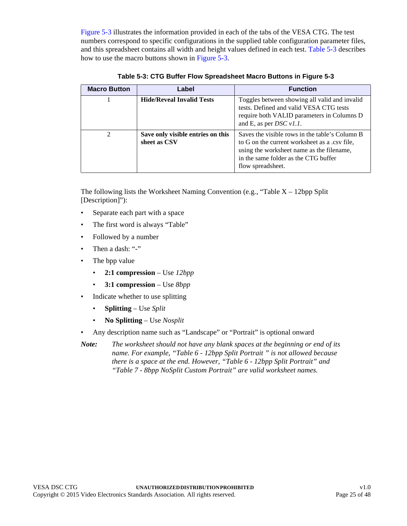[Figure 5-3](#page-23-0) illustrates the information provided in each of the tabs of the VESA CTG. The test numbers correspond to specific configurations in the supplied table configuration parameter files, and this spreadsheet contains all width and height values defined in each test. [Table 5-3](#page-24-0) describes how to use the macro buttons shown in [Figure 5-3](#page-23-0).

<span id="page-24-0"></span>

| <b>Macro Button</b> | Label                                             | <b>Function</b>                                                                                                                                                                                           |
|---------------------|---------------------------------------------------|-----------------------------------------------------------------------------------------------------------------------------------------------------------------------------------------------------------|
|                     | <b>Hide/Reveal Invalid Tests</b>                  | Toggles between showing all valid and invalid<br>tests. Defined and valid VESA CTG tests<br>require both VALID parameters in Columns D<br>and E, as per <i>DSC</i> $v1.1$ .                               |
| $\mathfrak{D}$      | Save only visible entries on this<br>sheet as CSV | Saves the visible rows in the table's Column B<br>to G on the current worksheet as a .csv file.<br>using the worksheet name as the filename,<br>in the same folder as the CTG buffer<br>flow spreadsheet. |

**Table 5-3: CTG Buffer Flow Spreadsheet Macro Buttons in [Figure 5-3](#page-23-0)**

The following lists the Worksheet Naming Convention (e.g., "Table  $X - 12bp$  Split [Description]"):

- Separate each part with a space
- The first word is always "Table"
- Followed by a number
- Then a dash: "-"
- The bpp value
	- **2:1 compression** Use *12bpp*
	- **3:1 compression** Use *8bpp*
- Indicate whether to use splitting
	- **Splitting** Use *Split*
	- **No Splitting** Use *Nosplit*
- Any description name such as "Landscape" or "Portrait" is optional onward

*Note: The worksheet should not have any blank spaces at the beginning or end of its name. For example, "Table 6 - 12bpp Split Portrait " is not allowed because there is a space at the end. However, "Table 6 - 12bpp Split Portrait" and "Table 7 - 8bpp NoSplit Custom Portrait" are valid worksheet names.*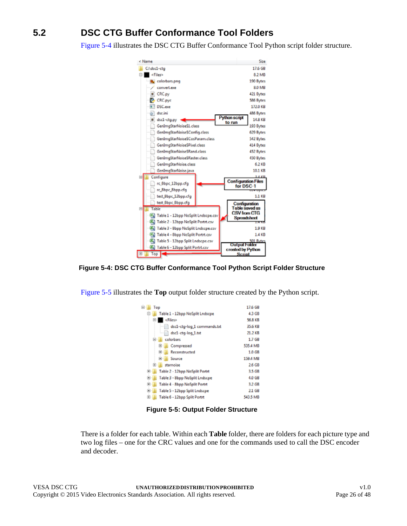# <span id="page-25-0"></span>**5.2 DSC CTG Buffer Conformance Tool Folders**

[Figure 5-4](#page-25-1) illustrates the DSC CTG Buffer Conformance Tool Python script folder structure.



<span id="page-25-1"></span>**Figure 5-4: DSC CTG Buffer Conformance Tool Python Script Folder Structure**

[Figure 5-5](#page-25-2) illustrates the **Top** output folder structure created by the Python script.

| ۰<br>Top                             | 17.6 GB           |
|--------------------------------------|-------------------|
| ⊟<br>Table 1 - 12bpp NoSplit Lndscpe | 4.3 GB            |
| $\equiv$<br><files></files>          | 56.8 KB           |
| dsc1-ctg-log_1 commands.txt          | 35.6 KB           |
| dsc1-ctg-log_1.txt                   | 21.2 KB           |
| colorbars<br>н                       | 1.7 <sub>GB</sub> |
| 田<br>Compressed                      | 535.4 MB          |
| 囲<br>Reconstructed                   | 1.0 GB            |
| Source<br>⊞                          | 159.4 MB          |
| 田<br>starnoise                       | 2.6 GB            |
| Table 2 - 12bpp NoSplit Portrt<br>匣  | 3.5 GB            |
| 抚<br>Table 3 - 8bpp NoSplit Lndscpe  | 4.0 GB            |
| 匣<br>Table 4 - 8bpp NoSplit Portrt   | 3.2 GB            |
| Table 5 - 12bpp Split Lndscpe<br>ŀ.  | 2.1 GB            |
| ⊞<br>Table 6 - 12boo Solit Portrt    | 543.5 MB          |

**Figure 5-5: Output Folder Structure**

<span id="page-25-2"></span>There is a folder for each table. Within each **Table** folder, there are folders for each picture type and two log files – one for the CRC values and one for the commands used to call the DSC encoder and decoder.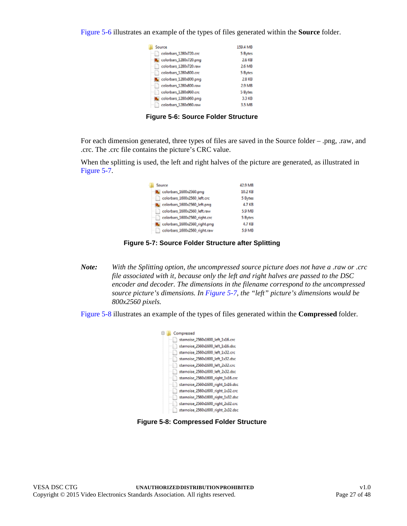[Figure 5-6](#page-26-0) illustrates an example of the types of files generated within the **Source** folder.

| Source                 | 159.4 MB |
|------------------------|----------|
| colorbars 1280x720.crc | 5 Bytes  |
| colorbars_1280x720.png | 2.6 KB   |
| colorbars_1280x720.raw | 2.6 MB   |
| colorbars 1280x800.crc | 5 Bytes  |
| colorbars_1280x800.png | 2.8 KB   |
| colorbars_1280x800.raw | 2.9 MB   |
| colorbars_1280x960.crc | 5 Bytes  |
| colorbars_1280:960.png | 3.3 KB   |
| colorbars_1280x960.raw | 3.5 MB   |

I

**Figure 5-6: Source Folder Structure**

<span id="page-26-0"></span>For each dimension generated, three types of files are saved in the Source folder – .png, .raw, and .crc. The .crc file contains the picture's CRC value.

When the splitting is used, the left and right halves of the picture are generated, as illustrated in [Figure 5-7.](#page-26-1)

| Source                               | 42.9 MB |
|--------------------------------------|---------|
| colorbars_1600x2560.png              | 10.2 KB |
| colorbars 1600x2560_left.crc<br>m.   | 5 Bytes |
| colorbars_1600x2560_left.png         | 4.7 KB  |
| colorbars 1600x2560 left.raw         | 5.9 MB  |
| colorbars 1600x2560_right.crc        | 5 Bytes |
| colorbars_1600x2560_right.png        | 4.7 KB  |
| colorbars_1600x2560_right.raw<br>- 1 | 5.9 MB  |

**Figure 5-7: Source Folder Structure after Splitting**

<span id="page-26-1"></span>*Note: With the Splitting option, the uncompressed source picture does not have a .raw or .crc file associated with it, because only the left and right halves are passed to the DSC encoder and decoder. The dimensions in the filename correspond to the uncompressed source picture's dimensions. In [Figure 5-7,](#page-26-1) the "left" picture's dimensions would be 800x2560 pixels.* 

<span id="page-26-2"></span>[Figure 5-8](#page-26-2) illustrates an example of the types of files generated within the **Compressed** folder.



**Figure 5-8: Compressed Folder Structure**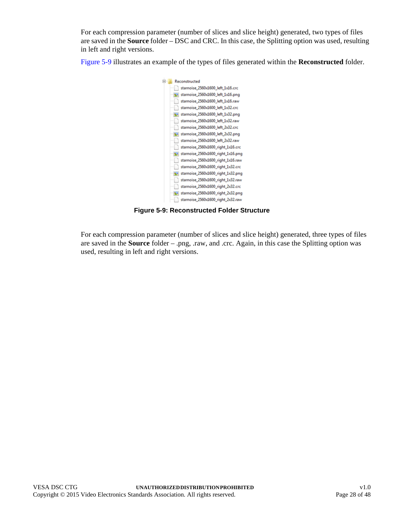For each compression parameter (number of slices and slice height) generated, two types of files are saved in the **Source** folder – DSC and CRC. In this case, the Splitting option was used, resulting in left and right versions.

[Figure 5-9](#page-27-0) illustrates an example of the types of files generated within the **Reconstructed** folder.



**Figure 5-9: Reconstructed Folder Structure**

<span id="page-27-0"></span>For each compression parameter (number of slices and slice height) generated, three types of files are saved in the **Source** folder – .png, .raw, and .crc. Again, in this case the Splitting option was used, resulting in left and right versions.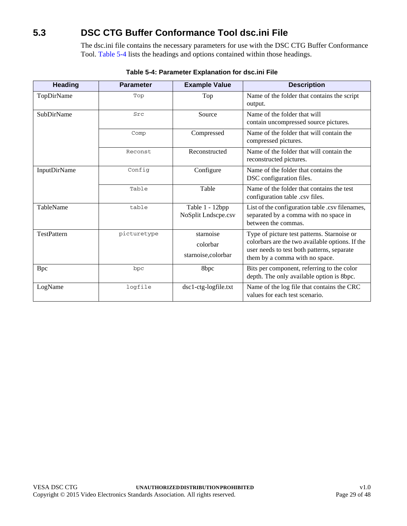# <span id="page-28-0"></span>**5.3 DSC CTG Buffer Conformance Tool dsc.ini File**

The dsc.ini file contains the necessary parameters for use with the DSC CTG Buffer Conformance Tool. [Table 5-4](#page-28-1) lists the headings and options contained within those headings.

<span id="page-28-1"></span>

| <b>Heading</b>      | <b>Parameter</b> | <b>Example Value</b>                         | <b>Description</b>                                                                                                                                                             |
|---------------------|------------------|----------------------------------------------|--------------------------------------------------------------------------------------------------------------------------------------------------------------------------------|
| TopDirName          | Top              | Top                                          | Name of the folder that contains the script<br>output.                                                                                                                         |
| <b>SubDirName</b>   | Src              | Source                                       | Name of the folder that will<br>contain uncompressed source pictures.                                                                                                          |
|                     | Comp             | Compressed                                   | Name of the folder that will contain the<br>compressed pictures.                                                                                                               |
|                     | Reconst          | Reconstructed                                | Name of the folder that will contain the<br>reconstructed pictures.                                                                                                            |
| <b>InputDirName</b> | Config           | Configure                                    | Name of the folder that contains the<br>DSC configuration files.                                                                                                               |
|                     | Table            | Table                                        | Name of the folder that contains the test<br>configuration table .csv files.                                                                                                   |
| TableName           | table            | Table 1 - 12bpp<br>NoSplit Lndscpe.csv       | List of the configuration table .csv filenames,<br>separated by a comma with no space in<br>between the commas.                                                                |
| <b>TestPattern</b>  | picturetype      | starnoise<br>colorbar<br>starnoise, colorbar | Type of picture test patterns. Starnoise or<br>colorbars are the two available options. If the<br>user needs to test both patterns, separate<br>them by a comma with no space. |
| <b>Bpc</b>          | bpc              | 8bpc                                         | Bits per component, referring to the color<br>depth. The only available option is 8bpc.                                                                                        |
| LogName             | logfile          | dsc1-ctg-logfile.txt                         | Name of the log file that contains the CRC<br>values for each test scenario.                                                                                                   |

#### **Table 5-4: Parameter Explanation for dsc.ini File**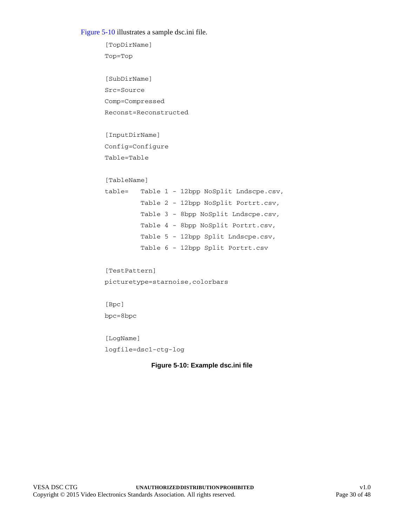#### [Figure 5-10](#page-29-0) illustrates a sample dsc.ini file.

```
[TopDirName]
Top=Top
[SubDirName]
Src=Source
Comp=Compressed
Reconst=Reconstructed
[InputDirName]
Config=Configure
Table=Table
[TableName]
table= Table 1 - 12bpp NoSplit Lndscpe.csv,
         Table 2 - 12bpp NoSplit Portrt.csv,
         Table 3 - 8bpp NoSplit Lndscpe.csv,
         Table 4 - 8bpp NoSplit Portrt.csv,
         Table 5 - 12bpp Split Lndscpe.csv,
         Table 6 - 12bpp Split Portrt.csv
[TestPattern]
picturetype=starnoise,colorbars
[Bpc]
bpc=8bpc
[LogName]
```
<span id="page-29-0"></span>logfile=dsc1-ctg-log

#### **Figure 5-10: Example dsc.ini file**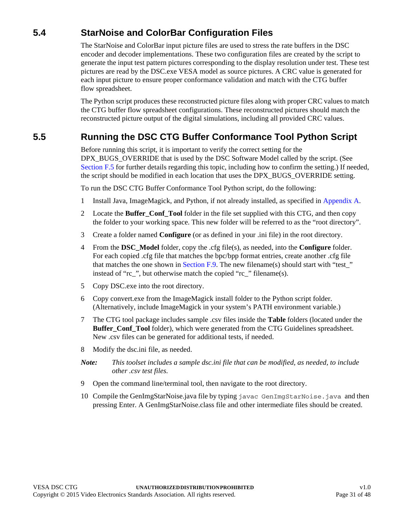## <span id="page-30-0"></span>**5.4 StarNoise and ColorBar Configuration Files**

The StarNoise and ColorBar input picture files are used to stress the rate buffers in the DSC encoder and decoder implementations. These two configuration files are created by the script to generate the input test pattern pictures corresponding to the display resolution under test. These test pictures are read by the DSC.exe VESA model as source pictures. A CRC value is generated for each input picture to ensure proper conformance validation and match with the CTG buffer flow spreadsheet.

The Python script produces these reconstructed picture files along with proper CRC values to match the CTG buffer flow spreadsheet configurations. These reconstructed pictures should match the reconstructed picture output of the digital simulations, including all provided CRC values.

## <span id="page-30-1"></span>**5.5 Running the DSC CTG Buffer Conformance Tool Python Script**

Before running this script, it is important to verify the correct setting for the DPX\_BUGS\_OVERRIDE that is used by the DSC Software Model called by the script. (See [Section F.5](#page-44-2) for further details regarding this topic, including how to confirm the setting.) If needed, the script should be modified in each location that uses the DPX\_BUGS\_OVERRIDE setting.

To run the DSC CTG Buffer Conformance Tool Python script, do the following:

- 1 Install Java, ImageMagick, and Python, if not already installed, as specified in [Appendix A](#page-32-4).
- 2 Locate the **Buffer\_Conf\_Tool** folder in the file set supplied with this CTG, and then copy the folder to your working space. This new folder will be referred to as the "root directory".
- 3 Create a folder named **Configure** (or as defined in your .ini file) in the root directory.
- 4 From the **DSC\_Model** folder, copy the .cfg file(s), as needed, into the **Configure** folder. For each copied .cfg file that matches the bpc/bpp format entries, create another .cfg file that matches the one shown in [Section F.9](#page-47-1). The new filename(s) should start with "test" instead of "rc\_", but otherwise match the copied "rc\_" filename(s).
- 5 Copy DSC.exe into the root directory.
- 6 Copy convert.exe from the ImageMagick install folder to the Python script folder. (Alternatively, include ImageMagick in your system's PATH environment variable.)
- 7 The CTG tool package includes sample .csv files inside the **Table** folders (located under the **Buffer\_Conf\_Tool** folder), which were generated from the CTG Guidelines spreadsheet. New .csv files can be generated for additional tests, if needed.
- 8 Modify the dsc.ini file, as needed.
- *Note: This toolset includes a sample dsc.ini file that can be modified, as needed, to include other .csv test files.*
- 9 Open the command line/terminal tool, then navigate to the root directory.
- 10 Compile the GenImgStarNoise.java file by typing javac GenImgStarNoise.java and then pressing Enter. A GenImgStarNoise.class file and other intermediate files should be created.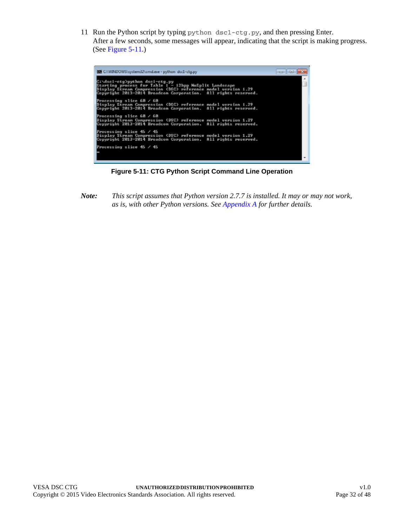11 Run the Python script by typing python dsc1-ctg.py, and then pressing Enter. After a few seconds, some messages will appear, indicating that the script is making progress. (See [Figure 5-11](#page-31-0).)



**Figure 5-11: CTG Python Script Command Line Operation**

<span id="page-31-0"></span>*Note: This script assumes that Python version 2.7.7 is installed. It may or may not work, as is, with other Python versions. See [Appendix A](#page-32-4) for further details.*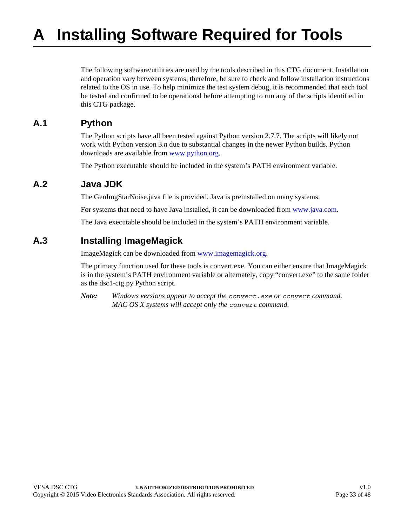<span id="page-32-4"></span><span id="page-32-0"></span>The following software/utilities are used by the tools described in this CTG document. Installation and operation vary between systems; therefore, be sure to check and follow installation instructions related to the OS in use. To help minimize the test system debug, it is recommended that each tool be tested and confirmed to be operational before attempting to run any of the scripts identified in this CTG package.

#### <span id="page-32-1"></span>**A.1 Python**

The Python scripts have all been tested against Python version 2.7.7. The scripts will likely not work with Python version 3.*n* due to substantial changes in the newer Python builds. Python downloads are available from [www.python.org](https://www.python.org).

The Python executable should be included in the system's PATH environment variable.

#### <span id="page-32-2"></span>**A.2 Java JDK**

The GenImgStarNoise.java file is provided. Java is preinstalled on many systems.

For systems that need to have Java installed, it can be downloaded from [www.java.com.](http://www.java.com)

The Java executable should be included in the system's PATH environment variable.

### <span id="page-32-3"></span>**A.3 Installing ImageMagick**

ImageMagick can be downloaded from [www.imagemagick.org](https://www.imagemagick.org).

The primary function used for these tools is convert.exe. You can either ensure that ImageMagick is in the system's PATH environment variable or alternately, copy "convert.exe" to the same folder as the dsc1-ctg.py Python script.

*Note: Windows versions appear to accept the convert.exe or convert command. MAC OS X systems will accept only the convert command.*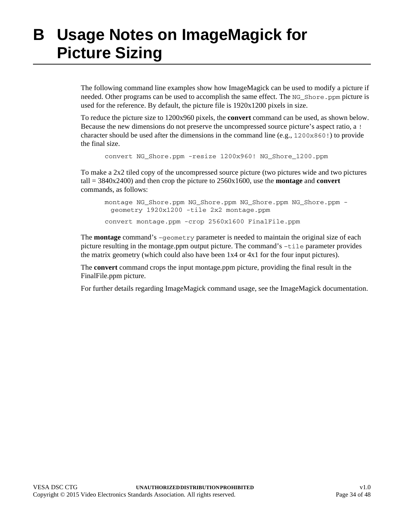# <span id="page-33-1"></span><span id="page-33-0"></span>**B Usage Notes on ImageMagick for Picture Sizing**

The following command line examples show how ImageMagick can be used to modify a picture if needed. Other programs can be used to accomplish the same effect. The NG\_Shore.ppm picture is used for the reference. By default, the picture file is 1920x1200 pixels in size.

To reduce the picture size to 1200x960 pixels, the **convert** command can be used, as shown below. Because the new dimensions do not preserve the uncompressed source picture's aspect ratio, a ! character should be used after the dimensions in the command line (e.g.,  $1200 \times 860$ !) to provide the final size.

convert NG\_Shore.ppm -resize 1200x960! NG\_Shore\_1200.ppm

To make a 2x2 tiled copy of the uncompressed source picture (two pictures wide and two pictures tall = 3840x2400) and then crop the picture to 2560x1600, use the **montage** and **convert** commands, as follows:

montage NG\_Shore.ppm NG\_Shore.ppm NG\_Shore.ppm NG\_Shore.ppm geometry 1920x1200 -tile 2x2 montage.ppm convert montage.ppm -crop 2560x1600 FinalFile.ppm

The **montage** command's –geometry parameter is needed to maintain the original size of each picture resulting in the montage.ppm output picture. The command's –tile parameter provides the matrix geometry (which could also have been 1x4 or 4x1 for the four input pictures).

The **convert** command crops the input montage.ppm picture, providing the final result in the FinalFile.ppm picture.

For further details regarding ImageMagick command usage, see the ImageMagick documentation.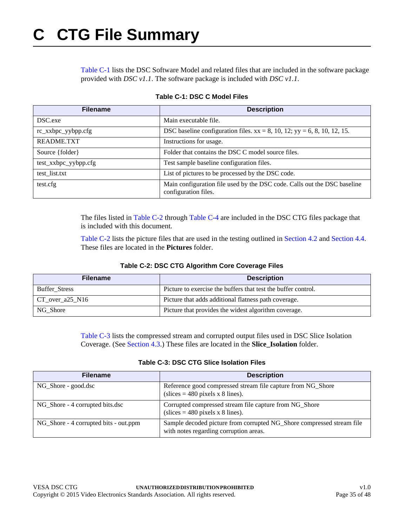<span id="page-34-4"></span><span id="page-34-0"></span>[Table C-1](#page-34-1) lists the DSC Software Model and related files that are included in the software package provided with *DSC v1.1*. The software package is included with *DSC v1.1*.

<span id="page-34-1"></span>

| <b>Filename</b>      | <b>Description</b>                                                                               |  |  |  |
|----------------------|--------------------------------------------------------------------------------------------------|--|--|--|
| DSC.exe              | Main executable file.                                                                            |  |  |  |
| rc_xxbpc_yybpp.cfg   | DSC baseline configuration files. $xx = 8$ , 10, 12; $yy = 6$ , 8, 10, 12, 15.                   |  |  |  |
| README.TXT           | Instructions for usage.                                                                          |  |  |  |
| Source {folder}      | Folder that contains the DSC C model source files.                                               |  |  |  |
| test_xxbpc_yybpp.cfg | Test sample baseline configuration files.                                                        |  |  |  |
| test_list.txt        | List of pictures to be processed by the DSC code.                                                |  |  |  |
| test.cfg             | Main configuration file used by the DSC code. Calls out the DSC baseline<br>configuration files. |  |  |  |

#### **Table C-1: DSC C Model Files**

The files listed in [Table C-2](#page-34-2) through [Table C-4](#page-35-0) are included in the DSC CTG files package that is included with this document.

[Table C-2](#page-34-2) lists the picture files that are used in the testing outlined in [Section 4.2](#page-16-3) and [Section 4.4](#page-18-4). These files are located in the **Pictures** folder.

#### **Table C-2: DSC CTG Algorithm Core Coverage Files**

<span id="page-34-2"></span>

| <b>Filename</b>      | <b>Description</b>                                            |
|----------------------|---------------------------------------------------------------|
| <b>Buffer Stress</b> | Picture to exercise the buffers that test the buffer control. |
| $CT_over_a25_N16$    | Picture that adds additional flatness path coverage.          |
| NG Shore             | Picture that provides the widest algorithm coverage.          |

[Table C-3](#page-34-3) lists the compressed stream and corrupted output files used in DSC Slice Isolation Coverage. (See [Section 4.3.](#page-17-4)) These files are located in the **Slice\_Isolation** folder.

#### **Table C-3: DSC CTG Slice Isolation Files**

<span id="page-34-3"></span>

| <b>Filename</b>                       | <b>Description</b>                                                                                              |
|---------------------------------------|-----------------------------------------------------------------------------------------------------------------|
| NG Shore - good.dsc                   | Reference good compressed stream file capture from NG_Shore<br>$(slices = 480 pixels x 8 lines).$               |
| NG_Shore - 4 corrupted bits.dsc       | Corrupted compressed stream file capture from NG_Shore<br>(slices = 480 pixels x 8 lines).                      |
| NG_Shore - 4 corrupted bits - out.ppm | Sample decoded picture from corrupted NG_Shore compressed stream file<br>with notes regarding corruption areas. |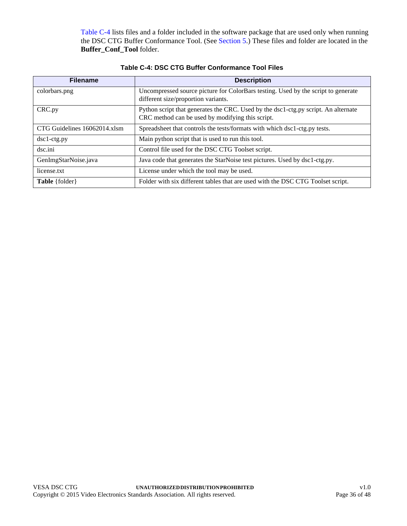[Table C-4](#page-35-0) lists files and a folder included in the software package that are used only when running the DSC CTG Buffer Conformance Tool. (See [Section 5](#page-19-2).) These files and folder are located in the **Buffer\_Conf\_Tool** folder.

<span id="page-35-0"></span>

| <b>Filename</b>              | <b>Description</b>                                                                                                                     |
|------------------------------|----------------------------------------------------------------------------------------------------------------------------------------|
| colorbars.png                | Uncompressed source picture for ColorBars testing. Used by the script to generate<br>different size/proportion variants.               |
| CRC.py                       | Python script that generates the CRC. Used by the dsc1-ctg.py script. An alternate<br>CRC method can be used by modifying this script. |
| CTG Guidelines 16062014.xlsm | Spreadsheet that controls the tests/formats with which dsc1-ctg.py tests.                                                              |
| dsc1-ctg.py                  | Main python script that is used to run this tool.                                                                                      |
| dsc.ini                      | Control file used for the DSC CTG Toolset script.                                                                                      |
| GenImgStarNoise.java         | Java code that generates the StarNoise test pictures. Used by dsc1-ctg.py.                                                             |
| license.txt                  | License under which the tool may be used.                                                                                              |
| Table {folder}               | Folder with six different tables that are used with the DSC CTG Toolset script.                                                        |

**Table C-4: DSC CTG Buffer Conformance Tool Files**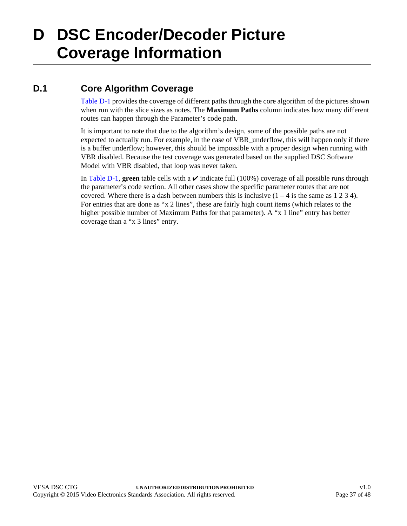# <span id="page-36-2"></span><span id="page-36-0"></span>**D DSC Encoder/Decoder Picture Coverage Information**

# <span id="page-36-1"></span>**D.1 Core Algorithm Coverage**

[Table D-1](#page-37-1) provides the coverage of different paths through the core algorithm of the pictures shown when run with the slice sizes as notes. The **Maximum Paths** column indicates how many different routes can happen through the Parameter's code path.

It is important to note that due to the algorithm's design, some of the possible paths are not expected to actually run. For example, in the case of VBR underflow, this will happen only if there is a buffer underflow; however, this should be impossible with a proper design when running with VBR disabled. Because the test coverage was generated based on the supplied DSC Software Model with VBR disabled, that loop was never taken.

In [Table D-1](#page-37-1), **green** table cells with a  $\boldsymbol{\nu}$  indicate full (100%) coverage of all possible runs through the parameter's code section. All other cases show the specific parameter routes that are not covered. Where there is a dash between numbers this is inclusive  $(1 - 4)$  is the same as  $1 \ 2 \ 3 \ 4$ ). For entries that are done as "x 2 lines", these are fairly high count items (which relates to the higher possible number of Maximum Paths for that parameter). A "x 1 line" entry has better coverage than a "x 3 lines" entry.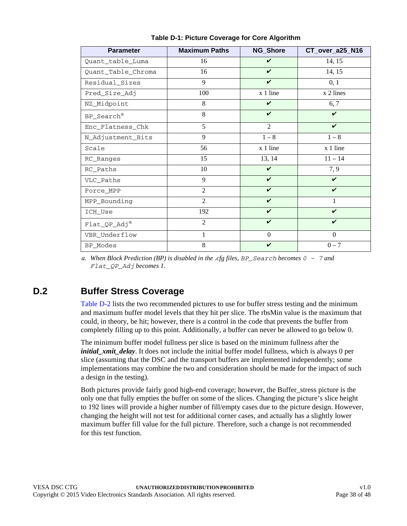<span id="page-37-1"></span>

| <b>Parameter</b>         | <b>Maximum Paths</b> | NG_Shore           | CT_over_a25_N16    |
|--------------------------|----------------------|--------------------|--------------------|
| Quant_table_Luma         | 16                   | $\checkmark$       | 14, 15             |
| Quant_Table_Chroma       | 16                   | $\checkmark$       | 14, 15             |
| Residual_Sizes           | 9                    | $\mathbf v$        | 0, 1               |
| Pred_Size_Adj            | 100                  | x 1 line           | x 2 lines          |
| NZ_Midpoint              | 8                    | $\boldsymbol{\nu}$ | 6, 7               |
| BP_Search <sup>a</sup>   | 8                    | $\boldsymbol{\nu}$ | $\boldsymbol{\nu}$ |
| Enc_Flatness_Chk         | 5                    | 2                  | V                  |
| N_Adjustment_Bits        | 9                    | $1-8$              | $1 - 8$            |
| Scale                    | 56                   | x 1 line           | x 1 line           |
| RC_Ranges                | 15                   | 13, 14             | $11 - 14$          |
| RC_Paths                 | 10                   | $\boldsymbol{\nu}$ | 7, 9               |
| VLC_Paths                | 9                    | $\mathbf v$        | $\mathbf v$        |
| Force_MPP                | 2                    | $\checkmark$       | V                  |
| MPP_Bounding             | 2                    | $\checkmark$       | 1                  |
| ICH_Use                  | 192                  | $\checkmark$       | $\boldsymbol{\nu}$ |
| Flat_QP_Adj <sup>a</sup> | 2                    | $\checkmark$       | V                  |
| VBR_Underflow            | 1                    | $\Omega$           | $\Omega$           |
| BP_Modes                 | 8                    | $\boldsymbol{\nu}$ | $0 - 7$            |

**Table D-1: Picture Coverage for Core Algorithm**

<span id="page-37-2"></span>*a. When Block Prediction (BP) is disabled in the .cfg files, BP\_Search becomes 0 – 7 and Flat\_QP\_Adj becomes 1.*

### <span id="page-37-0"></span>**D.2 Buffer Stress Coverage**

[Table D-2](#page-38-0) lists the two recommended pictures to use for buffer stress testing and the minimum and maximum buffer model levels that they hit per slice. The rbsMin value is the maximum that could, in theory, be hit; however, there is a control in the code that prevents the buffer from completely filling up to this point. Additionally, a buffer can never be allowed to go below 0.

The minimum buffer model fullness per slice is based on the minimum fullness after the *initial xmit delay*. It does not include the initial buffer model fullness, which is always 0 per slice (assuming that the DSC and the transport buffers are implemented independently; some implementations may combine the two and consideration should be made for the impact of such a design in the testing).

Both pictures provide fairly good high-end coverage; however, the Buffer\_stress picture is the only one that fully empties the buffer on some of the slices. Changing the picture's slice height to 192 lines will provide a higher number of fill/empty cases due to the picture design. However, changing the height will not test for additional corner cases, and actually has a slightly lower maximum buffer fill value for the full picture. Therefore, such a change is not recommended for this test function.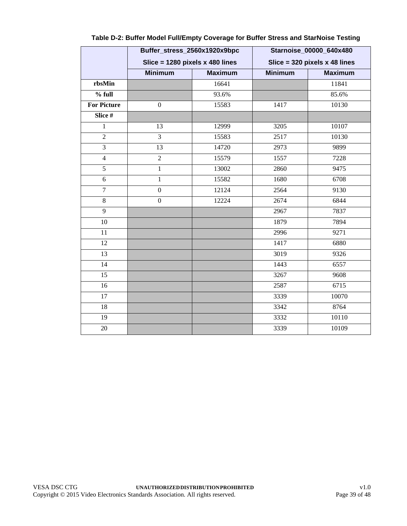|                    | Buffer_stress_2560x1920x9bpc      |                | Starnoise_00000_640x480         |                |
|--------------------|-----------------------------------|----------------|---------------------------------|----------------|
|                    | Slice = $1280$ pixels x 480 lines |                | Slice = $320$ pixels x 48 lines |                |
|                    | <b>Minimum</b>                    | <b>Maximum</b> | <b>Minimum</b>                  | <b>Maximum</b> |
| rbsMin             |                                   | 16641          |                                 | 11841          |
| $%$ full           |                                   | 93.6%          |                                 | 85.6%          |
| <b>For Picture</b> | $\boldsymbol{0}$                  | 15583          | 1417                            | 10130          |
| Slice #            |                                   |                |                                 |                |
| $\mathbf{1}$       | 13                                | 12999          | 3205                            | 10107          |
| $\overline{2}$     | 3                                 | 15583          | 2517                            | 10130          |
| $\overline{3}$     | 13                                | 14720          | 2973                            | 9899           |
| $\overline{4}$     | $\overline{2}$                    | 15579          | 1557                            | 7228           |
| $\overline{5}$     | $\mathbf{1}$                      | 13002          | 2860                            | 9475           |
| 6                  | $\mathbf{1}$                      | 15582          | 1680                            | 6708           |
| $\overline{7}$     | $\boldsymbol{0}$                  | 12124          | 2564                            | 9130           |
| $\overline{8}$     | $\boldsymbol{0}$                  | 12224          | 2674                            | 6844           |
| 9                  |                                   |                | 2967                            | 7837           |
| 10                 |                                   |                | 1879                            | 7894           |
| 11                 |                                   |                | 2996                            | 9271           |
| 12                 |                                   |                | 1417                            | 6880           |
| 13                 |                                   |                | 3019                            | 9326           |
| 14                 |                                   |                | 1443                            | 6557           |
| 15                 |                                   |                | 3267                            | 9608           |
| 16                 |                                   |                | 2587                            | 6715           |
| $\overline{17}$    |                                   |                | 3339                            | 10070          |
| 18                 |                                   |                | 3342                            | 8764           |
| 19                 |                                   |                | 3332                            | 10110          |
| 20                 |                                   |                | 3339                            | 10109          |

#### <span id="page-38-2"></span><span id="page-38-1"></span><span id="page-38-0"></span>**Table D-2: Buffer Model Full/Empty Coverage for Buffer Stress and StarNoise Testing**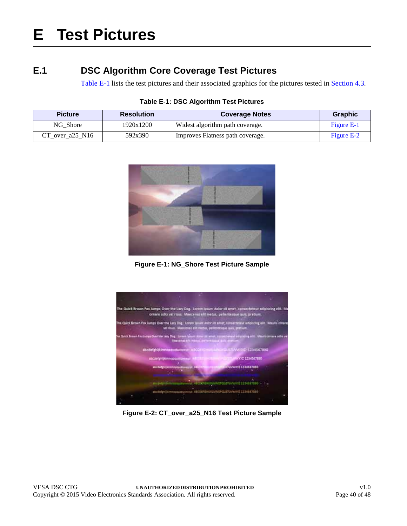# <span id="page-39-5"></span><span id="page-39-0"></span>**E Test Pictures**

# <span id="page-39-1"></span>**E.1 DSC Algorithm Core Coverage Test Pictures**

<span id="page-39-6"></span>[Table E-1](#page-39-2) lists the test pictures and their associated graphics for the pictures tested in [Section 4.3.](#page-17-4)

<span id="page-39-8"></span><span id="page-39-7"></span><span id="page-39-2"></span>

| <b>Picture</b>      | <b>Resolution</b> | <b>Coverage Notes</b>            | <b>Graphic</b> |
|---------------------|-------------------|----------------------------------|----------------|
| NG Shore            | 1920x1200         | Widest algorithm path coverage.  | Figure E-1     |
| $CT$ over a25 $N16$ | 592x390           | Improves Flatness path coverage. | Figure E-2     |

**Table E-1: DSC Algorithm Test Pictures**



**Figure E-1: [NG\\_Shore](#page-39-7) Test Picture Sample**

<span id="page-39-3"></span>

<span id="page-39-4"></span>**Figure E-2: [CT\\_over\\_a25\\_N16](#page-39-8) Test Picture Sample**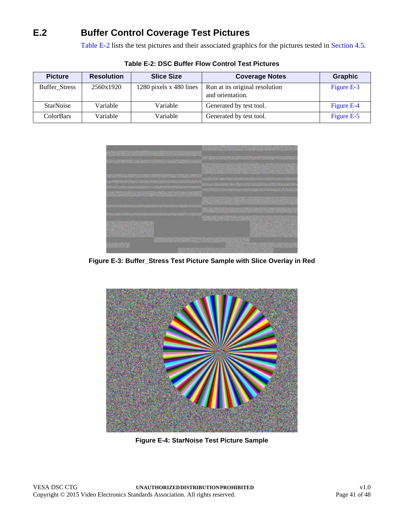# <span id="page-40-0"></span>**E.2 Buffer Control Coverage Test Pictures**

[Table E-2](#page-40-1) lists the test pictures and their associated graphics for the pictures tested in [Section 4.5.](#page-18-5)

<span id="page-40-6"></span><span id="page-40-5"></span><span id="page-40-4"></span><span id="page-40-1"></span>

| <b>Picture</b>       | <b>Resolution</b> | <b>Slice Size</b>       | <b>Coverage Notes</b>                              | <b>Graphic</b> |
|----------------------|-------------------|-------------------------|----------------------------------------------------|----------------|
| <b>Buffer Stress</b> | 2560x1920         | 1280 pixels x 480 lines | Run at its original resolution<br>and orientation. | Figure E-3     |
| <b>StarNoise</b>     | Variable          | Variable                | Generated by test tool.                            | Figure E-4     |
| ColorBars            | Variable          | Variable                | Generated by test tool.                            | Figure E-5     |

**Table E-2: DSC Buffer Flow Control Test Pictures**



<span id="page-40-2"></span>**Figure E-3: [Buffer\\_Stress](#page-40-4) Test Picture Sample with Slice Overlay in Red**



<span id="page-40-3"></span>**Figure E-4: [StarNoise](#page-40-5) Test Picture Sample**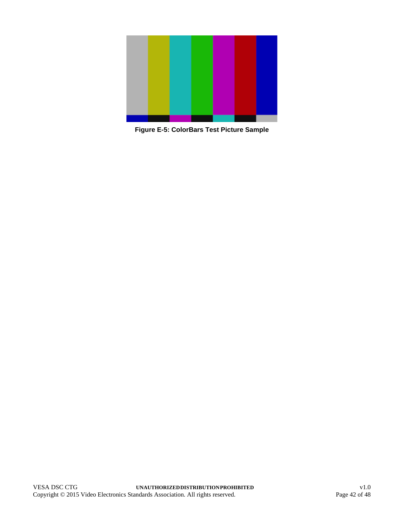<span id="page-41-0"></span>

**Figure E-5: [ColorBars](#page-40-6) Test Picture Sample**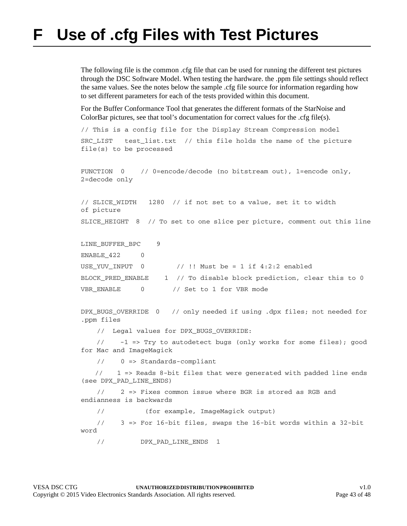# <span id="page-42-1"></span><span id="page-42-0"></span>**F Use of .cfg Files with Test Pictures**

The following file is the common .cfg file that can be used for running the different test pictures through the DSC Software Model. When testing the hardware. the .ppm file settings should reflect the same values. See the notes below the sample .cfg file source for information regarding how to set different parameters for each of the tests provided within this document.

For the Buffer Conformance Tool that generates the different formats of the StarNoise and ColorBar pictures, see that tool's documentation for correct values for the .cfg file(s).

```
// This is a config file for the Display Stream Compression model
SRC_LIST test_list.txt // this file holds the name of the picture 
file(s) to be processed
```

```
FUNCTION 0 // 0=encode/decode (no bitstream out), 1=encode only,
2=decode only
```
// SLICE\_WIDTH 1280 // if not set to a value, set it to width of picture SLICE HEIGHT 8 // To set to one slice per picture, comment out this line

```
LINE_BUFFER_BPC 9
ENABLE 422 0
USE YUV INPUT 0 // !! Must be = 1 if 4:2:2 enabled
BLOCK_PRED_ENABLE 1 // To disable block prediction, clear this to 0
VBR ENABLE 0 // Set to 1 for VBR mode
```
DPX BUGS OVERRIDE 0 // only needed if using .dpx files; not needed for .ppm files

// Legal values for DPX\_BUGS\_OVERRIDE:

 // -1 => Try to autodetect bugs (only works for some files); good for Mac and ImageMagick

// 0 => Standards-compliant

 // 1 => Reads 8-bit files that were generated with padded line ends (see DPX\_PAD\_LINE\_ENDS)

 // 2 => Fixes common issue where BGR is stored as RGB and endianness is backwards

// (for example, ImageMagick output)

 // 3 => For 16-bit files, swaps the 16-bit words within a 32-bit word

// DPX\_PAD\_LINE\_ENDS 1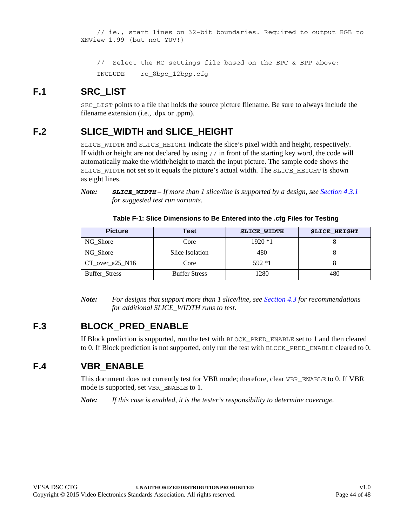```
 // ie., start lines on 32-bit boundaries. Required to output RGB to 
XNView 1.99 (but not YUV!)
```

```
 // Select the RC settings file based on the BPC & BPP above:
 INCLUDE rc_8bpc_12bpp.cfg
```
### <span id="page-43-0"></span>**F.1 SRC\_LIST**

SRC\_LIST points to a file that holds the source picture filename. Be sure to always include the filename extension (i.e., .dpx or .ppm).

## <span id="page-43-1"></span>**F.2 SLICE\_WIDTH and SLICE\_HEIGHT**

SLICE\_WIDTH and SLICE\_HEIGHT indicate the slice's pixel width and height, respectively. If width or height are not declared by using // in front of the starting key word, the code will automatically make the width/height to match the input picture. The sample code shows the SLICE\_WIDTH not set so it equals the picture's actual width. The SLICE\_HEIGHT is shown as eight lines.

*Note: SLICE\_WIDTH – If more than 1 slice/line is supported by a design, see [Section 4.3.1](#page-17-5) for suggested test run variants.*

| Table F-1: Slice Dimensions to Be Entered into the .cfg Files for Testing |
|---------------------------------------------------------------------------|
|---------------------------------------------------------------------------|

<span id="page-43-4"></span>

| <b>Picture</b>       | Test                 | <b>SLICE WIDTH</b> | <b>SLICE HEIGHT</b> |
|----------------------|----------------------|--------------------|---------------------|
| NG Shore             | Core                 | $1920 *1$          |                     |
| NG Shore             | Slice Isolation      | 480                |                     |
| $CT_over_125_N16$    | Core                 | $592*1$            |                     |
| <b>Buffer Stress</b> | <b>Buffer Stress</b> | 1280               | 480                 |

*Note: For designs that support more than 1 slice/line, see [Section 4.3](#page-17-4) for recommendations for additional SLICE\_WIDTH runs to test.*

## <span id="page-43-2"></span>**F.3 BLOCK\_PRED\_ENABLE**

If Block prediction is supported, run the test with BLOCK\_PRED\_ENABLE set to 1 and then cleared to 0. If Block prediction is not supported, only run the test with BLOCK\_PRED\_ENABLE cleared to 0.

## <span id="page-43-3"></span>**F.4 VBR\_ENABLE**

This document does not currently test for VBR mode; therefore, clear VBR\_ENABLE to 0. If VBR mode is supported, set VBR\_ENABLE to 1.

*Note: If this case is enabled, it is the tester's responsibility to determine coverage.*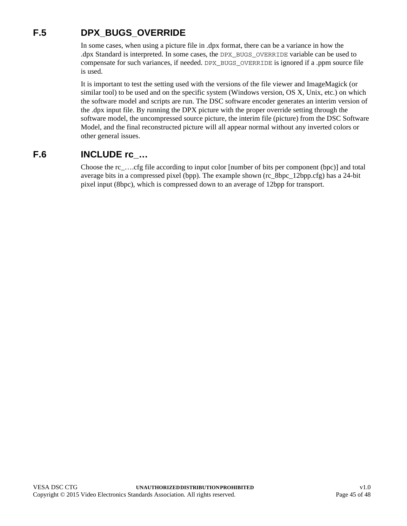# <span id="page-44-0"></span>**F.5 DPX\_BUGS\_OVERRIDE**

<span id="page-44-2"></span>In some cases, when using a picture file in .dpx format, there can be a variance in how the .dpx Standard is interpreted. In some cases, the DPX\_BUGS\_OVERRIDE variable can be used to compensate for such variances, if needed. DPX\_BUGS\_OVERRIDE is ignored if a .ppm source file is used.

It is important to test the setting used with the versions of the file viewer and ImageMagick (or similar tool) to be used and on the specific system (Windows version, OS X, Unix, etc.) on which the software model and scripts are run. The DSC software encoder generates an interim version of the .dpx input file. By running the DPX picture with the proper override setting through the software model, the uncompressed source picture, the interim file (picture) from the DSC Software Model, and the final reconstructed picture will all appear normal without any inverted colors or other general issues.

## <span id="page-44-1"></span>**F.6 INCLUDE rc\_…**

Choose the rc\_….cfg file according to input color [number of bits per component (bpc)] and total average bits in a compressed pixel (bpp). The example shown (rc\_8bpc\_12bpp.cfg) has a 24-bit pixel input (8bpc), which is compressed down to an average of 12bpp for transport.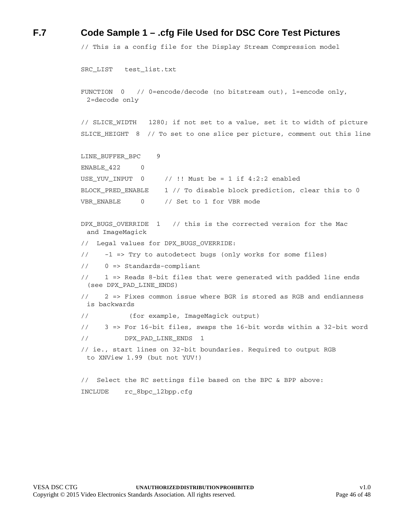#### <span id="page-45-0"></span>**F.7 Code Sample 1 – .cfg File Used for DSC Core Test Pictures**

```
// This is a config file for the Display Stream Compression model
SRC_LIST test_list.txt
FUNCTION 0 // 0=encode/decode (no bitstream out), 1=encode only, 
 2=decode only
// SLICE_WIDTH 1280; if not set to a value, set it to width of picture
SLICE_HEIGHT 8 // To set to one slice per picture, comment out this line
LINE_BUFFER_BPC 9
ENABLE_422 0
USE YUV INPUT 0 // !! Must be = 1 if 4:2:2 enabled
BLOCK_PRED_ENABLE 1 // To disable block prediction, clear this to 0
VBR_ENABLE 0 // Set to 1 for VBR mode
DPX BUGS OVERRIDE 1 // this is the corrected version for the Mac
 and ImageMagick
// Legal values for DPX_BUGS_OVERRIDE:
// -1 => Try to autodetect bugs (only works for some files)
// 0 => Standards-compliant
// 1 => Reads 8-bit files that were generated with padded line ends 
 (see DPX_PAD_LINE_ENDS)
// 2 => Fixes common issue where BGR is stored as RGB and endianness 
 is backwards
// (for example, ImageMagick output)
// 3 => For 16-bit files, swaps the 16-bit words within a 32-bit word
// DPX_PAD_LINE_ENDS 1
// ie., start lines on 32-bit boundaries. Required to output RGB 
 to XNView 1.99 (but not YUV!)
// Select the RC settings file based on the BPC & BPP above:
INCLUDE rc_8bpc_12bpp.cfg
```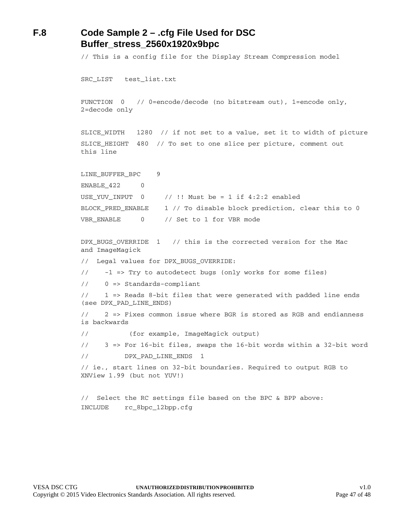### <span id="page-46-0"></span>**F.8 Code Sample 2 – .cfg File Used for DSC [Buffer\\_stress\\_2560x1920x9bpc](#page-38-1)**

// This is a config file for the Display Stream Compression model

SRC\_LIST test\_list.txt

FUNCTION 0 // 0=encode/decode (no bitstream out), 1=encode only, 2=decode only

SLICE\_WIDTH 1280 // if not set to a value, set it to width of picture SLICE HEIGHT 480 // To set to one slice per picture, comment out this line

```
LINE_BUFFER_BPC 9
ENABLE 422 0
USE_YUV_INPUT 0 // !! Must be = 1 if 4:2:2 enabled
BLOCK_PRED_ENABLE 1 // To disable block prediction, clear this to 0
VBR ENABLE 0 // Set to 1 for VBR mode
```
DPX BUGS OVERRIDE 1 // this is the corrected version for the Mac and ImageMagick // Legal values for DPX\_BUGS\_OVERRIDE: // -1 => Try to autodetect bugs (only works for some files) // 0 => Standards-compliant // 1 => Reads 8-bit files that were generated with padded line ends (see DPX\_PAD\_LINE\_ENDS) // 2 => Fixes common issue where BGR is stored as RGB and endianness is backwards // (for example, ImageMagick output) // 3 => For 16-bit files, swaps the 16-bit words within a 32-bit word // DPX\_PAD\_LINE\_ENDS 1 // ie., start lines on 32-bit boundaries. Required to output RGB to XNView 1.99 (but not YUV!) // Select the RC settings file based on the BPC & BPP above:

INCLUDE rc\_8bpc\_12bpp.cfg